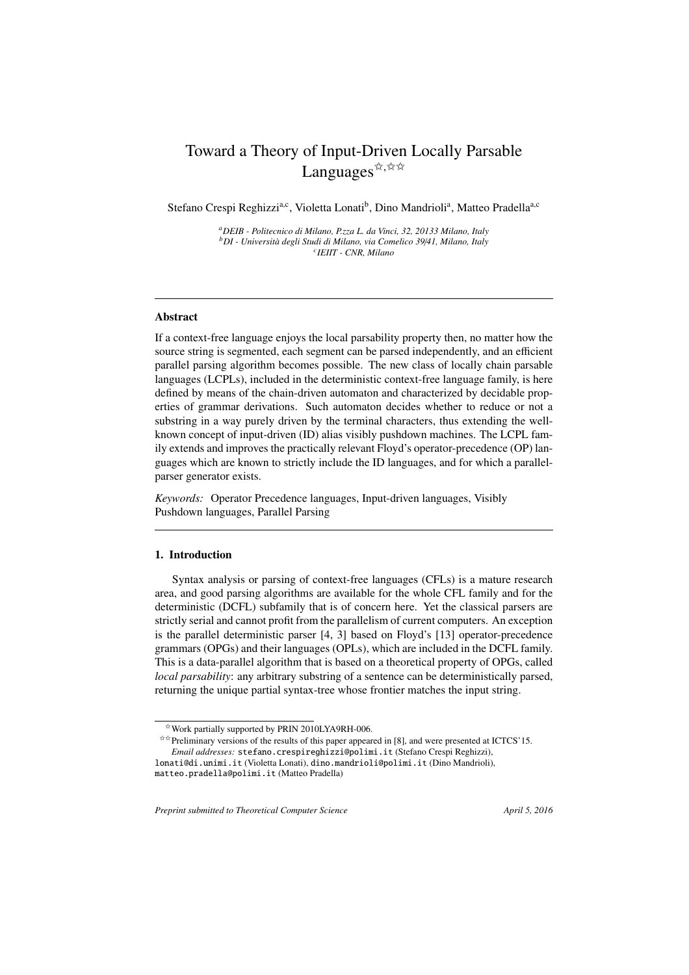# Toward a Theory of Input-Driven Locally Parsable Languages  $\overleftrightarrow{x}$ ,  $\overleftrightarrow{x}$

Stefano Crespi Reghizzi<sup>a,c</sup>, Violetta Lonati<sup>b</sup>, Dino Mandrioli<sup>a</sup>, Matteo Pradella<sup>a,c</sup>

*<sup>a</sup>DEIB - Politecnico di Milano, P.zza L. da Vinci, 32, 20133 Milano, Italy <sup>b</sup>DI - Universit `a degli Studi di Milano, via Comelico 39*/*41, Milano, Italy c IEIIT - CNR, Milano*

# Abstract

If a context-free language enjoys the local parsability property then, no matter how the source string is segmented, each segment can be parsed independently, and an efficient parallel parsing algorithm becomes possible. The new class of locally chain parsable languages (LCPLs), included in the deterministic context-free language family, is here defined by means of the chain-driven automaton and characterized by decidable properties of grammar derivations. Such automaton decides whether to reduce or not a substring in a way purely driven by the terminal characters, thus extending the wellknown concept of input-driven (ID) alias visibly pushdown machines. The LCPL family extends and improves the practically relevant Floyd's operator-precedence (OP) languages which are known to strictly include the ID languages, and for which a parallelparser generator exists.

*Keywords:* Operator Precedence languages, Input-driven languages, Visibly Pushdown languages, Parallel Parsing

# 1. Introduction

Syntax analysis or parsing of context-free languages (CFLs) is a mature research area, and good parsing algorithms are available for the whole CFL family and for the deterministic (DCFL) subfamily that is of concern here. Yet the classical parsers are strictly serial and cannot profit from the parallelism of current computers. An exception is the parallel deterministic parser [4, 3] based on Floyd's [13] operator-precedence grammars (OPGs) and their languages (OPLs), which are included in the DCFL family. This is a data-parallel algorithm that is based on a theoretical property of OPGs, called *local parsability*: any arbitrary substring of a sentence can be deterministically parsed, returning the unique partial syntax-tree whose frontier matches the input string.

 $\star\star$ Preliminary versions of the results of this paper appeared in [8], and were presented at ICTCS'15.

 $*$  Work partially supported by PRIN 2010LYA9RH-006.

*Email addresses:* stefano.crespireghizzi@polimi.it (Stefano Crespi Reghizzi), lonati@di.unimi.it (Violetta Lonati), dino.mandrioli@polimi.it (Dino Mandrioli),

matteo.pradella@polimi.it (Matteo Pradella)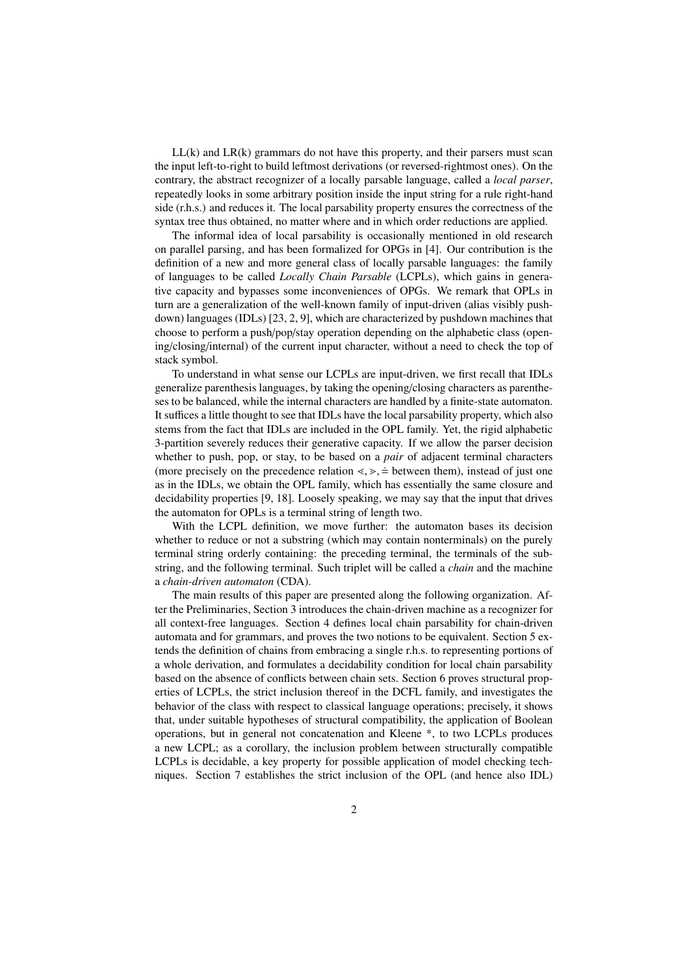$LL(k)$  and  $LR(k)$  grammars do not have this property, and their parsers must scan the input left-to-right to build leftmost derivations (or reversed-rightmost ones). On the contrary, the abstract recognizer of a locally parsable language, called a *local parser*, repeatedly looks in some arbitrary position inside the input string for a rule right-hand side (r.h.s.) and reduces it. The local parsability property ensures the correctness of the syntax tree thus obtained, no matter where and in which order reductions are applied.

The informal idea of local parsability is occasionally mentioned in old research on parallel parsing, and has been formalized for OPGs in [4]. Our contribution is the definition of a new and more general class of locally parsable languages: the family of languages to be called *Locally Chain Parsable* (LCPLs), which gains in generative capacity and bypasses some inconveniences of OPGs. We remark that OPLs in turn are a generalization of the well-known family of input-driven (alias visibly pushdown) languages (IDLs) [23, 2, 9], which are characterized by pushdown machines that choose to perform a push/pop/stay operation depending on the alphabetic class (opening/closing/internal) of the current input character, without a need to check the top of stack symbol.

To understand in what sense our LCPLs are input-driven, we first recall that IDLs generalize parenthesis languages, by taking the opening/closing characters as parentheses to be balanced, while the internal characters are handled by a finite-state automaton. It suffices a little thought to see that IDLs have the local parsability property, which also stems from the fact that IDLs are included in the OPL family. Yet, the rigid alphabetic 3-partition severely reduces their generative capacity. If we allow the parser decision whether to push, pop, or stay, to be based on a *pair* of adjacent terminal characters (more precisely on the precedence relation  $\langle \cdot, \cdot \rangle = 0$  between them), instead of just one as in the IDLs, we obtain the OPL family, which has essentially the same closure and decidability properties [9, 18]. Loosely speaking, we may say that the input that drives the automaton for OPLs is a terminal string of length two.

With the LCPL definition, we move further: the automaton bases its decision whether to reduce or not a substring (which may contain nonterminals) on the purely terminal string orderly containing: the preceding terminal, the terminals of the substring, and the following terminal. Such triplet will be called a *chain* and the machine a *chain-driven automaton* (CDA).

The main results of this paper are presented along the following organization. After the Preliminaries, Section 3 introduces the chain-driven machine as a recognizer for all context-free languages. Section 4 defines local chain parsability for chain-driven automata and for grammars, and proves the two notions to be equivalent. Section 5 extends the definition of chains from embracing a single r.h.s. to representing portions of a whole derivation, and formulates a decidability condition for local chain parsability based on the absence of conflicts between chain sets. Section 6 proves structural properties of LCPLs, the strict inclusion thereof in the DCFL family, and investigates the behavior of the class with respect to classical language operations; precisely, it shows that, under suitable hypotheses of structural compatibility, the application of Boolean operations, but in general not concatenation and Kleene \*, to two LCPLs produces a new LCPL; as a corollary, the inclusion problem between structurally compatible LCPLs is decidable, a key property for possible application of model checking techniques. Section 7 establishes the strict inclusion of the OPL (and hence also IDL)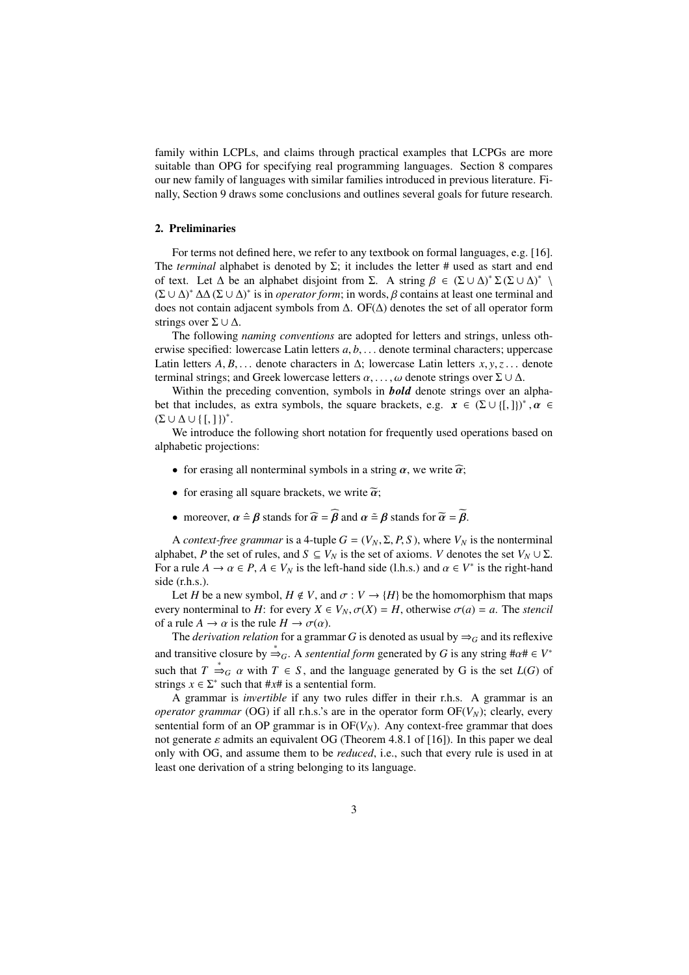family within LCPLs, and claims through practical examples that LCPGs are more suitable than OPG for specifying real programming languages. Section 8 compares our new family of languages with similar families introduced in previous literature. Finally, Section 9 draws some conclusions and outlines several goals for future research.

# 2. Preliminaries

For terms not defined here, we refer to any textbook on formal languages, e.g. [16]. The *terminal* alphabet is denoted by  $\Sigma$ ; it includes the letter # used as start and end of text. Let  $\Delta$  be an alphabet disjoint from  $\Sigma$ . A string  $\beta \in (\Sigma \cup \Delta)^* \Sigma (\Sigma \cup \Delta)^*$  $(\Sigma \cup \Delta)^* \Delta \Delta (\Sigma \cup \Delta)^*$  is in *operator form*; in words,  $\beta$  contains at least one terminal and does not contain adjacent symbols from ∆. OF(∆) denotes the set of all operator form strings over  $\Sigma \cup \Delta$ .

The following *naming conventions* are adopted for letters and strings, unless otherwise specified: lowercase Latin letters *a*, *b*, . . . denote terminal characters; uppercase Latin letters  $A, B, \ldots$  denote characters in  $\Delta$ ; lowercase Latin letters  $x, y, z, \ldots$  denote terminal strings; and Greek lowercase letters  $\alpha, \dots, \omega$  denote strings over  $\Sigma \cup \Delta$ .

Within the preceding convention, symbols in *bold* denote strings over an alphabet that includes, as extra symbols, the square brackets, e.g.  $x \in (\Sigma \cup \{[\,,\,]\})^*$ ,  $\alpha \in$  $(\Sigma \cup \Delta \cup \{[,]\})^*$ .

We introduce the following short notation for frequently used operations based on alphabetic projections:

- for erasing all nonterminal symbols in a string  $\alpha$ , we write  $\widehat{\alpha}$ ;
- for erasing all square brackets, we write  $\tilde{\alpha}$ ;
- moreover,  $\alpha \triangleq \beta$  stands for  $\widehat{\alpha} = \widehat{\beta}$  and  $\alpha \triangleq \beta$  stands for  $\widetilde{\alpha} = \widetilde{\beta}$ .

A *context-free grammar* is a 4-tuple  $G = (V_N, \Sigma, P, S)$ , where  $V_N$  is the nonterminal alphabet, *P* the set of rules, and  $S \subseteq V_N$  is the set of axioms. *V* denotes the set  $V_N \cup \Sigma$ . For a rule  $A \to \alpha \in P$ ,  $A \in V_N$  is the left-hand side (l.h.s.) and  $\alpha \in V^*$  is the right-hand side (r.h.s.).

Let *H* be a new symbol,  $H \notin V$ , and  $\sigma : V \to \{H\}$  be the homomorphism that maps every nonterminal to *H*: for every  $X \in V_N$ ,  $\sigma(X) = H$ , otherwise  $\sigma(a) = a$ . The *stencil* of a rule  $A \to \alpha$  is the rule  $H \to \sigma(\alpha)$ .

The *derivation relation* for a grammar *G* is denoted as usual by  $\Rightarrow$ <sub>*G*</sub> and its reflexive and transitive closure by  $\stackrel{*}{\Rightarrow}_G$ . A *sentential form* generated by G is any string  $\#\alpha \# \in V^*$ such that  $T \stackrel{*}{\Rightarrow}_G \alpha$  with  $T \in S$ , and the language generated by G is the set  $L(G)$  of strings  $x \in \Sigma^*$  such that  $\#x \#$  is a sentential form.

A grammar is *invertible* if any two rules differ in their r.h.s. A grammar is an *operator grammar* (OG) if all r.h.s.'s are in the operator form  $OF(V<sub>N</sub>)$ ; clearly, every sentential form of an OP grammar is in  $OF(V_N)$ . Any context-free grammar that does not generate  $\varepsilon$  admits an equivalent OG (Theorem 4.8.1 of [16]). In this paper we deal only with OG, and assume them to be *reduced*, i.e., such that every rule is used in at least one derivation of a string belonging to its language.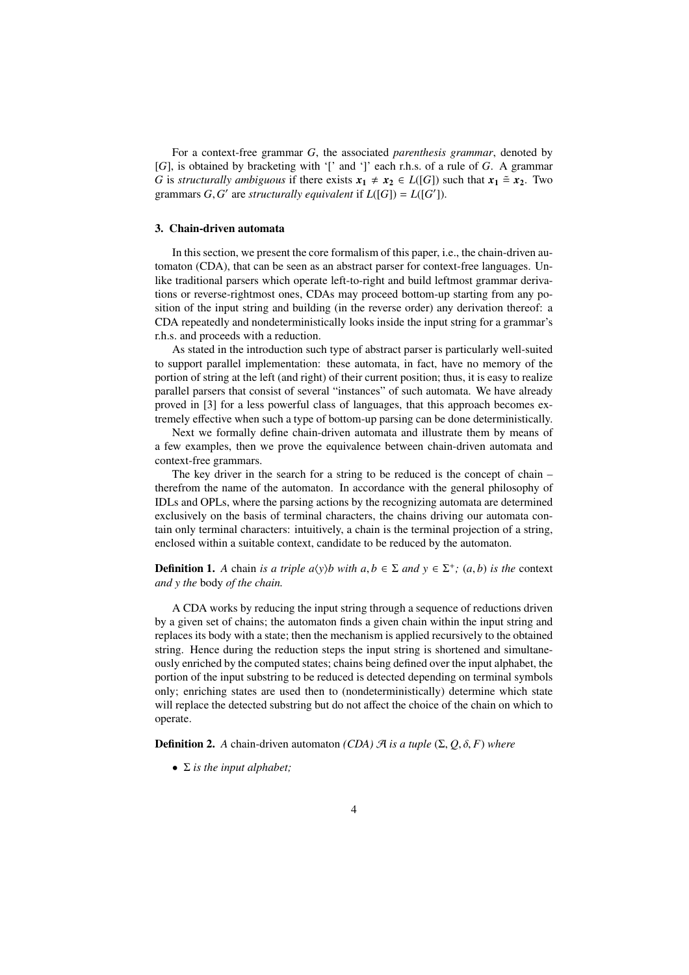For a context-free grammar *G*, the associated *parenthesis grammar*, denoted by [*G*], is obtained by bracketing with '[' and ']' each r.h.s. of a rule of *G*. A grammar *G* is *structurally ambiguous* if there exists  $x_1 \neq x_2 \in L([G])$  such that  $x_1 \stackrel{\sim}{=} x_2$ . Two grammars  $G$ ,  $G'$  are *structurally equivalent* if  $L([G]) = L([G'])$ .

# 3. Chain-driven automata

In this section, we present the core formalism of this paper, i.e., the chain-driven automaton (CDA), that can be seen as an abstract parser for context-free languages. Unlike traditional parsers which operate left-to-right and build leftmost grammar derivations or reverse-rightmost ones, CDAs may proceed bottom-up starting from any position of the input string and building (in the reverse order) any derivation thereof: a CDA repeatedly and nondeterministically looks inside the input string for a grammar's r.h.s. and proceeds with a reduction.

As stated in the introduction such type of abstract parser is particularly well-suited to support parallel implementation: these automata, in fact, have no memory of the portion of string at the left (and right) of their current position; thus, it is easy to realize parallel parsers that consist of several "instances" of such automata. We have already proved in [3] for a less powerful class of languages, that this approach becomes extremely effective when such a type of bottom-up parsing can be done deterministically.

Next we formally define chain-driven automata and illustrate them by means of a few examples, then we prove the equivalence between chain-driven automata and context-free grammars.

The key driver in the search for a string to be reduced is the concept of chain – therefrom the name of the automaton. In accordance with the general philosophy of IDLs and OPLs, where the parsing actions by the recognizing automata are determined exclusively on the basis of terminal characters, the chains driving our automata contain only terminal characters: intuitively, a chain is the terminal projection of a string, enclosed within a suitable context, candidate to be reduced by the automaton.

**Definition 1.** *A* chain *is a triple a* $\langle y \rangle$ *b with a*, *b*  $\in \Sigma$  *and*  $y \in \Sigma^{+}$ ; (*a*, *b*) *is the* context *and y the* body *of the chain.*

A CDA works by reducing the input string through a sequence of reductions driven by a given set of chains; the automaton finds a given chain within the input string and replaces its body with a state; then the mechanism is applied recursively to the obtained string. Hence during the reduction steps the input string is shortened and simultaneously enriched by the computed states; chains being defined over the input alphabet, the portion of the input substring to be reduced is detected depending on terminal symbols only; enriching states are used then to (nondeterministically) determine which state will replace the detected substring but do not affect the choice of the chain on which to operate.

**Definition 2.** *A* chain-driven automaton *(CDA)*  $\mathcal{A}$  *is a tuple*  $(\Sigma, Q, \delta, F)$  *where* 

• Σ *is the input alphabet;*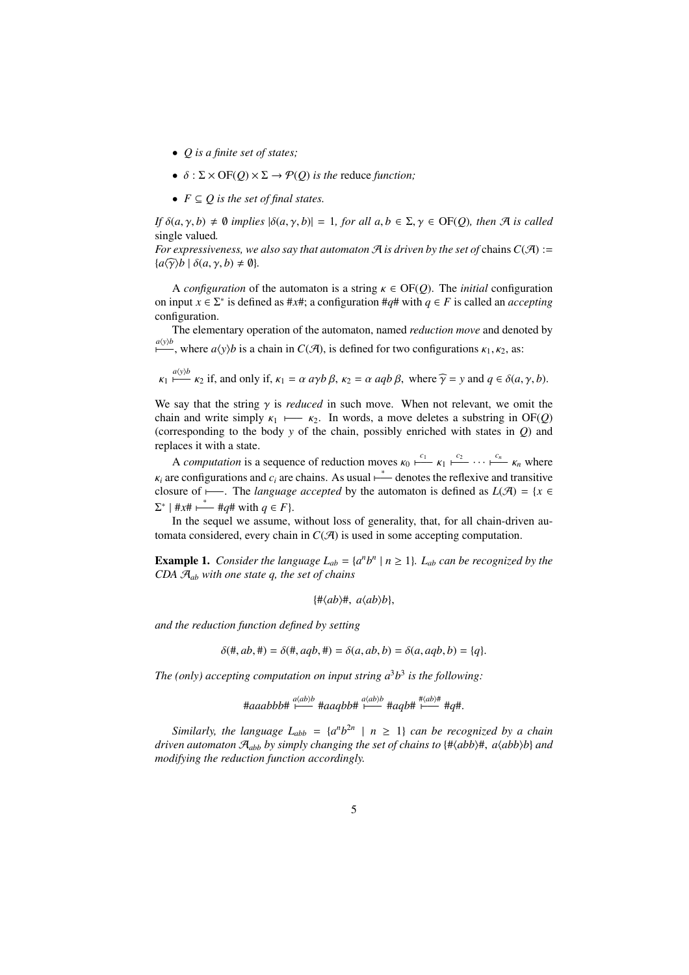- *Q is a finite set of states;*
- $\bullet$   $\delta$  :  $\Sigma \times \mathrm{OF}(O) \times \Sigma \rightarrow \mathcal{P}(O)$  *is the reduce function:*
- $F \subseteq O$  is the set of final states.

*If*  $\delta(a, \gamma, b) \neq \emptyset$  *implies*  $|\delta(a, \gamma, b)| = 1$ *, for all a, b*  $\in \Sigma, \gamma \in \text{OF}(Q)$ *, then*  $\mathcal{A}$  *is called* single valued*.*

*For expressiveness, we also say that automaton*  $\mathcal A$  *is driven by the set of* chains  $C(\mathcal A) :=$  ${a \widehat{\gamma} \setminus b \mid \delta(a, \gamma, b) \neq \emptyset}.$ 

A *configuration* of the automaton is a string  $\kappa \in \text{OF}(Q)$ . The *initial* configuration on input  $x \in \Sigma^*$  is defined as #*x*#; a configuration #*q*# with  $q \in F$  is called an *accepting* configuration.

The elementary operation of the automaton, named *reduction move* and denoted by  $\frac{a(y)b}{}$ , where *a*(*y*)*b* is a chain in *C*( $\mathcal{A}$ ), is defined for two configurations  $\kappa_1, \kappa_2$ , as:

$$
\kappa_1 \stackrel{a(y)b}{\longmapsto} \kappa_2
$$
 if, and only if,  $\kappa_1 = \alpha \, a\gamma b \, \beta$ ,  $\kappa_2 = \alpha \, aq b \, \beta$ , where  $\widehat{\gamma} = y$  and  $q \in \delta(a, \gamma, b)$ .

We say that the string  $\gamma$  is *reduced* in such move. When not relevant, we omit the chain and write simply  $\kappa_1 \longleftarrow \kappa_2$ . In words, a move deletes a substring in OF(*Q*) (corresponding to the body *y* of the chain, possibly enriched with states in *Q*) and replaces it with a state.

A *computation* is a sequence of reduction moves  $\kappa_0 \stackrel{c_1}{\longleftarrow} \kappa_1 \stackrel{c_2}{\longleftarrow} \cdots \stackrel{c_n}{\longleftarrow} \kappa_n$  where  $\kappa_i$  are configurations and  $c_i$  are chains. As usual  $\stackrel{*}{\longleftarrow}$  denotes the reflexive and transitive closure of  $\longleftarrow$ . The *language accepted* by the automaton is defined as  $L(\mathcal{A}) = \{x \in$  $\Sigma^*$  | #*x*#  $\stackrel{*}{\longleftarrow}$  #*q*# with  $q \in F$ }.

In the sequel we assume, without loss of generality, that, for all chain-driven automata considered, every chain in  $C(\mathcal{A})$  is used in some accepting computation.

**Example 1.** *Consider the language*  $L_{ab} = \{a^n b^n \mid n \ge 1\}$ *. L<sub>ab</sub> can be recognized by the CDA* A*ab with one state q, the set of chains*

 $\{\# \langle ab \rangle \#$ ,  $a \langle ab \rangle b\}$ ,

*and the reduction function defined by setting*

 $\delta(\text{#}, ab, \text{#}) = \delta(\text{#}, aqb, \text{#}) = \delta(a, ab, b) = \delta(a, aqb, b) = \{q\}.$ 

*The (only) accepting computation on input string*  $a^3b^3$  *is the following:* 

#*aaabbb*# *a*h*ab*i*b* p−−− #*aaqbb*# *a*h*ab*i*b* p−−− #*aqb*# #h*ab*i# p−−− #*q*#.

*Similarly, the language*  $L_{abb} = \{a^n b^{2n} \mid n \geq 1\}$  *can be recognized by a chain driven automaton*  $\mathcal{A}_{abb}$  *by simply changing the set of chains to*  $\{\#\langle abb\rangle\#, a\langle abb\rangle\}$  *and modifying the reduction function accordingly.*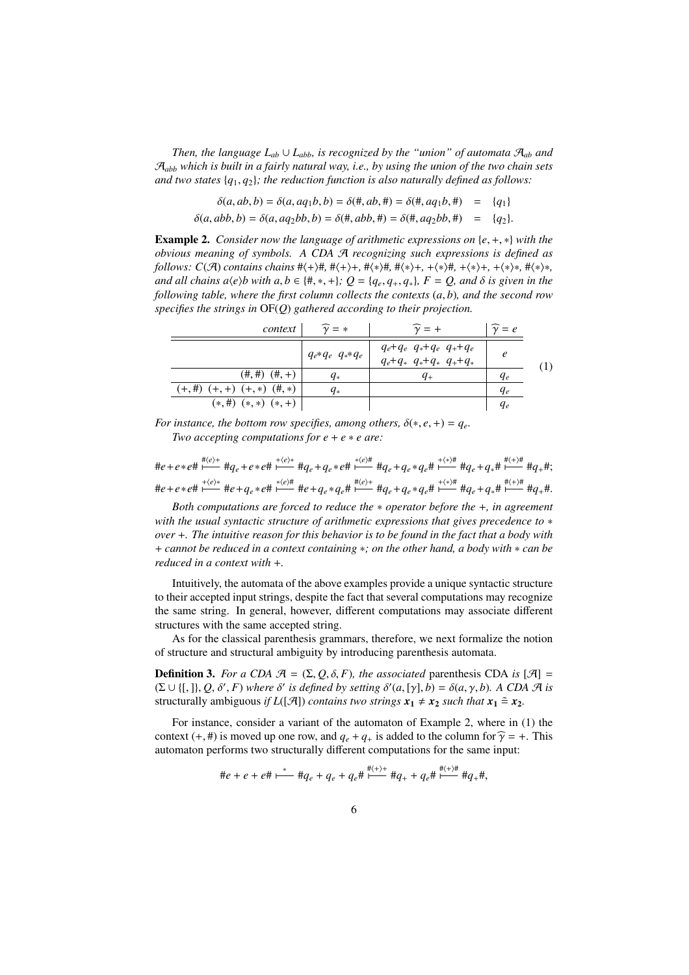*Then, the language*  $L_{ab} \cup L_{abb}$ *, is recognized by the "union" of automata*  $A_{ab}$  *and* A*abb which is built in a fairly natural way, i.e., by using the union of the two chain sets and two states*  $\{q_1, q_2\}$ *; the reduction function is also naturally defined as follows:* 

- $\delta(a, ab, b) = \delta(a, aq_1b, b) = \delta(\text{#}, ab, \text{#}) = \delta(\text{#}, aq_1b, \text{#}) = \{q_1\}$
- $\delta(a, abb, b) = \delta(a, aq_2bb, b) = \delta(\text{#}, abb, \text{#}) = \delta(\text{#}, aq_2bb, \text{#}) = \{q_2\}.$

Example 2. *Consider now the language of arithmetic expressions on* {*e*, +, ∗} *with the obvious meaning of symbols. A CDA* A *recognizing such expressions is defined as follows: C*( $\mathcal{A}$ ) *contains chains* # $\langle + \rangle$ #, # $\langle + \rangle$ +, # $\langle * \rangle$ #, # $\langle * \rangle$ +, + $\langle * \rangle$ +, + $\langle * \rangle$ \*, # $\langle * \rangle$ \*, *and all chains a* $\langle e \rangle$ *b with a, b* ∈ {#, \*, +};  $Q = \{q_e, q_+, q_*\}$ ,  $F = Q$ , and  $\delta$  *is given in the following table, where the first column collects the contexts* (*a*, *b*)*, and the second row specifies the strings in* OF(*Q*) *gathered according to their projection.*

| context                               | $=$ *                         |                                                        | $\gamma = e$ |  |
|---------------------------------------|-------------------------------|--------------------------------------------------------|--------------|--|
|                                       | $q_{e} * q_{e} q_{e} * q_{e}$ | $q_e+q_e q_*+q_e q_++q_e$<br>$q_e+q_* q_*+q_* q_++q_*$ | e            |  |
| $(\#, \#)$ $(\#, +)$                  | $q_*$                         | $q_{+}$                                                | $q_e$        |  |
| $(+, \#)$ $(+, +)$ $(+, *)$ $(\#, *)$ | $q_*$                         |                                                        | Чe           |  |
| $(*, \#)$ $(*, *)$ $(*, +)$           |                               |                                                        | Чe           |  |

*For instance, the bottom row specifies, among others,*  $\delta(*, e, +) = q_e$ . *Two accepting computations for*  $e + e * e$  *are:* 

 $\#e+e*e\# \stackrel{\# \langle e \rangle_+}{\longmapsto} \#q_e+e*e\# \stackrel{+ \langle e \rangle_*}{\longmapsto} \#q_e+q_e*e\# \stackrel{* \langle e \rangle \#}{\longmapsto} \#q_e+q_e*q_e\# \stackrel{+ \langle * \rangle \#}{\longmapsto} \#q_e+q_*\# \stackrel{\# \langle * \rangle \#}{\longmapsto} \#q_*\#;$  $\#e+e*e\# \stackrel{+(e)*}{\longmapsto} \#e+q_e*e\# \stackrel{*(e)\#}{\longmapsto} \#e+q_e*q_e\# \stackrel{\#(e)+}{\longmapsto} \#q_e+q_e*q_e\# \stackrel{+(*)\#}{\longmapsto} \#q_e+q_*\# \stackrel{\#(+) \#}{\longmapsto} \#q_+\#.$ 

*Both computations are forced to reduce the* ∗ *operator before the* +*, in agreement with the usual syntactic structure of arithmetic expressions that gives precedence to* ∗ *over* +*. The intuitive reason for this behavior is to be found in the fact that a body with* + *cannot be reduced in a context containing* ∗*; on the other hand, a body with* ∗ *can be reduced in a context with* +*.*

Intuitively, the automata of the above examples provide a unique syntactic structure to their accepted input strings, despite the fact that several computations may recognize the same string. In general, however, different computations may associate different structures with the same accepted string.

As for the classical parenthesis grammars, therefore, we next formalize the notion of structure and structural ambiguity by introducing parenthesis automata.

**Definition 3.** *For a CDA*  $\mathcal{A} = (\Sigma, Q, \delta, F)$ *, the associated* parenthesis CDA *is*  $[\mathcal{A}] =$  $(\Sigma \cup \{[, \}], Q, \delta', F)$  where  $\delta'$  is defined by setting  $\delta'(a, [\gamma], b) = \delta(a, \gamma, b)$ . A CDA A is structurally ambiguous *if*  $L([A])$  *contains two strings*  $x_1 \neq x_2$  *such that*  $x_1 \stackrel{\sim}{=} x_2$ *.* 

For instance, consider a variant of the automaton of Example 2, where in (1) the context (+, #) is moved up one row, and  $q_e + q_+$  is added to the column for  $\hat{\gamma} = +$ . This automaton performs two structurally different computations for the same input:

$$
\#e + e + e \# \stackrel{*}{\longmapsto} \#q_e + q_e + q_e \# \stackrel{\#(+)+}{\longmapsto} \#q_+ + q_e \# \stackrel{\#(+)+}{\longmapsto} \#q_+ \#,
$$

 $\frac{1}{n+1}$ 

 $\frac{1}{n}$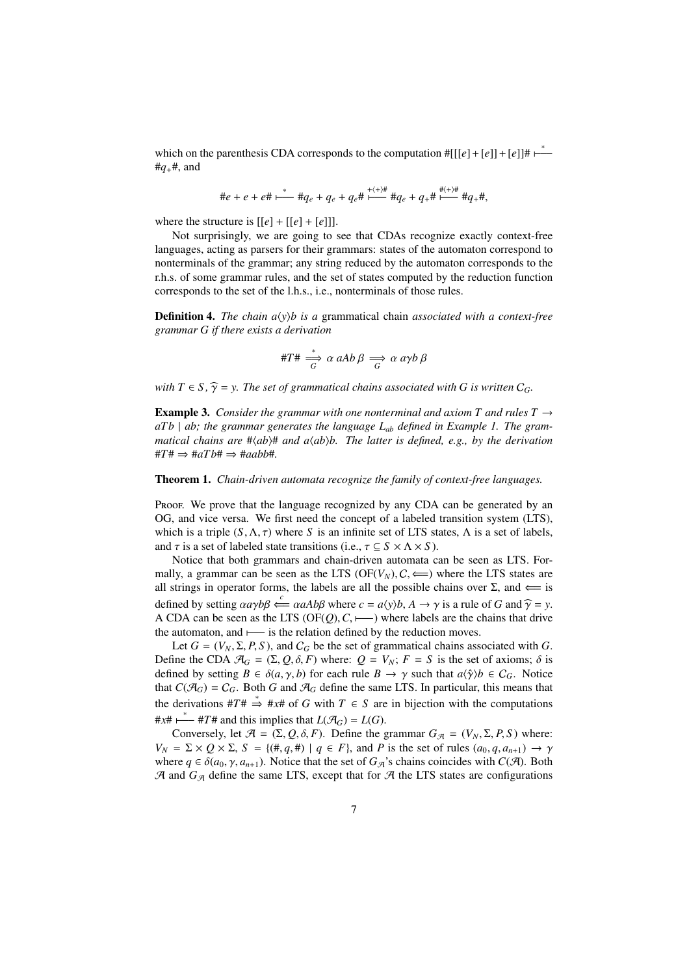which on the parenthesis CDA corresponds to the computation  $\#[[[e]+[e]] + [e]] \#$  $#q_+#$ , and

$$
\#e+e+e\# \stackrel{*}{\longmapsto} \#q_e+q_e+q_e\# \stackrel{+ \langle + \rangle \#}{\longmapsto} \#q_e+q_+\# \stackrel{\# \langle + \rangle \#}{\longmapsto} \#q_+\# ,
$$

where the structure is  $[[e] + [[e] + [e]]]$ .

Not surprisingly, we are going to see that CDAs recognize exactly context-free languages, acting as parsers for their grammars: states of the automaton correspond to nonterminals of the grammar; any string reduced by the automaton corresponds to the r.h.s. of some grammar rules, and the set of states computed by the reduction function corresponds to the set of the l.h.s., i.e., nonterminals of those rules.

**Definition 4.** *The chain*  $a\langle y \rangle b$  *is a grammatical chain <i>associated with a context-free grammar G if there exists a derivation*

$$
\#T\#\stackrel{*}{\Longrightarrow}\alpha\ aAb\ \beta \Longrightarrow \alpha\ a\gamma b\ \beta
$$

*with*  $T \in S$ ,  $\widehat{\gamma} = y$ . The set of grammatical chains associated with G is written  $C_G$ .

**Example 3.** *Consider the grammar with one nonterminal and axiom T and rules T*  $\rightarrow$ *aT b* | *ab; the grammar generates the language Lab defined in Example 1. The grammatical chains are*  $\# \langle ab \rangle \#$  *and a* $\langle ab \rangle b$ *. The latter is defined, e.g., by the derivation*  $#T# \Rightarrow #aT b# \Rightarrow #aab b#.$ 

Theorem 1. *Chain-driven automata recognize the family of context-free languages.*

Proof. We prove that the language recognized by any CDA can be generated by an OG, and vice versa. We first need the concept of a labeled transition system (LTS), which is a triple  $(S, \Lambda, \tau)$  where *S* is an infinite set of LTS states,  $\Lambda$  is a set of labels, and  $\tau$  is a set of labeled state transitions (i.e.,  $\tau \subseteq S \times \Lambda \times S$ ).

Notice that both grammars and chain-driven automata can be seen as LTS. Formally, a grammar can be seen as the LTS ( $OF(V_N)$ ,  $C \iff$ ) where the LTS states are all strings in operator forms, the labels are all the possible chains over  $\Sigma$ , and  $\Leftarrow$  is defined by setting  $\alpha a \gamma b \beta \stackrel{c}{\longleftarrow} \alpha aAb \beta$  where  $c = a \langle y \rangle b$ ,  $A \rightarrow \gamma$  is a rule of *G* and  $\widehat{\gamma} = y$ . A CDA can be seen as the LTS ( $OF(Q), C,$   $\longmapsto$ ) where labels are the chains that drive the automaton, and  $\longmapsto$  is the relation defined by the reduction moves.

Let  $G = (V_N, \Sigma, P, S)$ , and  $C_G$  be the set of grammatical chains associated with *G*. Define the CDA  $\mathcal{A}_G = (\Sigma, Q, \delta, F)$  where:  $Q = V_N$ ;  $F = S$  is the set of axioms;  $\delta$  is defined by setting  $B \in \delta(a, \gamma, b)$  for each rule  $B \to \gamma$  such that  $a\langle \hat{\gamma} \rangle b \in C_G$ . Notice that  $C(\mathcal{A}_G) = C_G$ . Both *G* and  $\mathcal{A}_G$  define the same LTS. In particular, this means that the derivations  $#T \# \Rightarrow #x \#$  of *G* with  $T \in S$  are in bijection with the computations  $#x#$  ⊢  $#T#$  and this implies that  $L(\mathcal{A}_G) = L(G)$ .

Conversely, let  $\mathcal{A} = (\Sigma, Q, \delta, F)$ . Define the grammar  $G_{\mathcal{A}} = (V_N, \Sigma, P, S)$  where:  $V_N = \Sigma \times Q \times \Sigma$ ,  $S = \{(\#, q, \#) \mid q \in F\}$ , and *P* is the set of rules  $(a_0, q, a_{n+1}) \rightarrow \gamma$ where  $q \in \delta(a_0, \gamma, a_{n+1})$ . Notice that the set of  $G_{\mathcal{A}}$ 's chains coincides with  $C(\mathcal{A})$ . Both  $A$  and  $G_A$  define the same LTS, except that for  $A$  the LTS states are configurations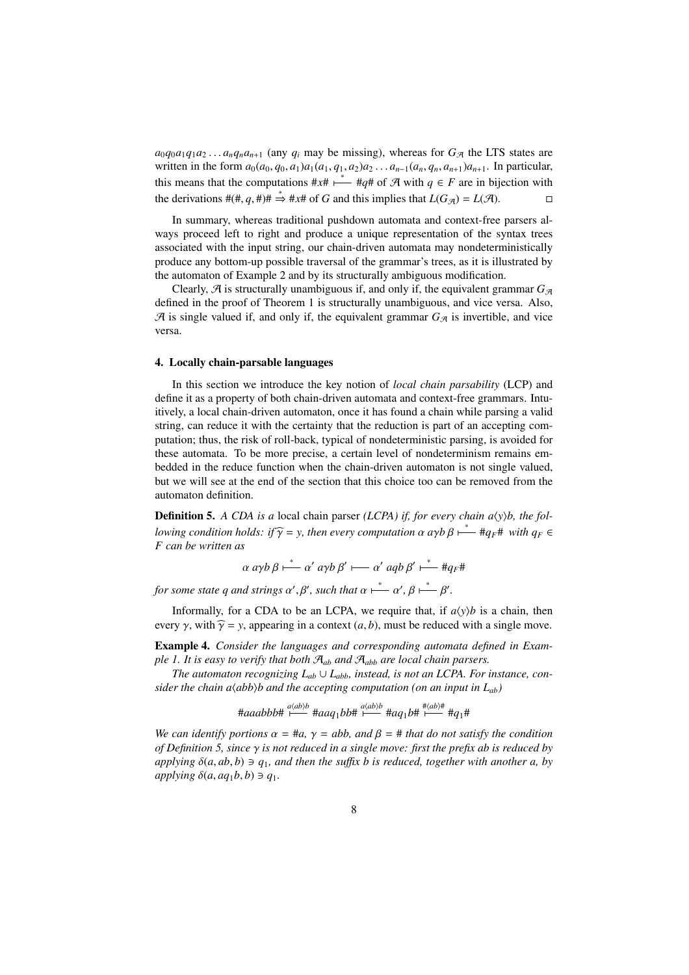$a_0q_0a_1q_1a_2...a_nq_na_{n+1}$  (any  $q_i$  may be missing), whereas for  $G_{\mathcal{A}}$  the LTS states are written in the form  $a_0(a_0, q_0, a_1)a_1(a_1, q_1, a_2)a_2 \ldots a_{n-1}(a_n, q_n, a_{n+1})a_{n+1}$ . In particular, this means that the computations  $\#x\# \stackrel{*}{\longleftarrow} \#q\#$  of A with  $q \in F$  are in bijection with the derivations  $#(\#, q, \#)\# \Rightarrow #x\#$  of *G* and this implies that  $L(G_{\mathcal{A}}) = L(\mathcal{A})$ . □

In summary, whereas traditional pushdown automata and context-free parsers always proceed left to right and produce a unique representation of the syntax trees associated with the input string, our chain-driven automata may nondeterministically produce any bottom-up possible traversal of the grammar's trees, as it is illustrated by the automaton of Example 2 and by its structurally ambiguous modification.

Clearly,  $\mathcal A$  is structurally unambiguous if, and only if, the equivalent grammar  $G_{\mathcal A}$ defined in the proof of Theorem 1 is structurally unambiguous, and vice versa. Also,  $\mathcal A$  is single valued if, and only if, the equivalent grammar  $G_{\mathcal A}$  is invertible, and vice versa.

# 4. Locally chain-parsable languages

In this section we introduce the key notion of *local chain parsability* (LCP) and define it as a property of both chain-driven automata and context-free grammars. Intuitively, a local chain-driven automaton, once it has found a chain while parsing a valid string, can reduce it with the certainty that the reduction is part of an accepting computation; thus, the risk of roll-back, typical of nondeterministic parsing, is avoided for these automata. To be more precise, a certain level of nondeterminism remains embedded in the reduce function when the chain-driven automaton is not single valued, but we will see at the end of the section that this choice too can be removed from the automaton definition.

Definition 5. *A CDA is a* local chain parser *(LCPA) if, for every chain a* $\langle y \rangle b$ *, the following condition holds: if*  $\widehat{\gamma} = y$ , then every computation  $\alpha$  *a*γ*b*  $\beta \mapsto \alpha + 4q$ <sup> $\beta + 4$ </sup> *with*  $q_F \in \Gamma$ *F can be written as*

$$
\alpha \, \alpha \gamma b \, \beta \stackrel{*}{\longmapsto} \alpha' \, \alpha \gamma b \, \beta' \stackrel{*}{\longmapsto} \alpha' \, \alpha q b \, \beta' \stackrel{*}{\longmapsto} \#q_F \#
$$

*for some state q and strings*  $\alpha', \beta'$ , such that  $\alpha \stackrel{*}{\longleftarrow} \alpha', \beta \stackrel{*}{\longleftarrow} \beta'.$ 

Informally, for a CDA to be an LCPA, we require that, if  $a(y)b$  is a chain, then every  $\gamma$ , with  $\widehat{\gamma} = y$ , appearing in a context (*a*, *b*), must be reduced with a single move.

Example 4. *Consider the languages and corresponding automata defined in Example 1. It is easy to verify that both*  $A_{ab}$  *and*  $A_{abb}$  *are local chain parsers.* 

*The automaton recognizing*  $L_{ab} \cup L_{abb}$ *, instead, is not an LCPA. For instance, consider the chain a* $\langle abb \rangle b$  *and the accepting computation (on an input in*  $L_{ab}$ *)* 

#aaabbb#  $\stackrel{a\langle ab\rangle b}{\longmapsto}$  #aaq<sub>1</sub>bb#  $\stackrel{a\langle ab\rangle b}{\longmapsto}$  #aq<sub>1</sub>b#  $\stackrel{\#(ab)\#}{\longmapsto}$  #q<sub>1</sub>#

*We can identify portions*  $\alpha = \text{#a}$ ,  $\gamma = abb$ , and  $\beta = \text{# that do not satisfy the condition}$ *of Definition 5, since* γ *is not reduced in a single move: first the prefix ab is reduced by applying*  $\delta(a, ab, b) \ni q_1$ *, and then the suffix b is reduced, together with another a, by*  $a$ *applying*  $\delta(a, aq_1b, b) \ni q_1$ .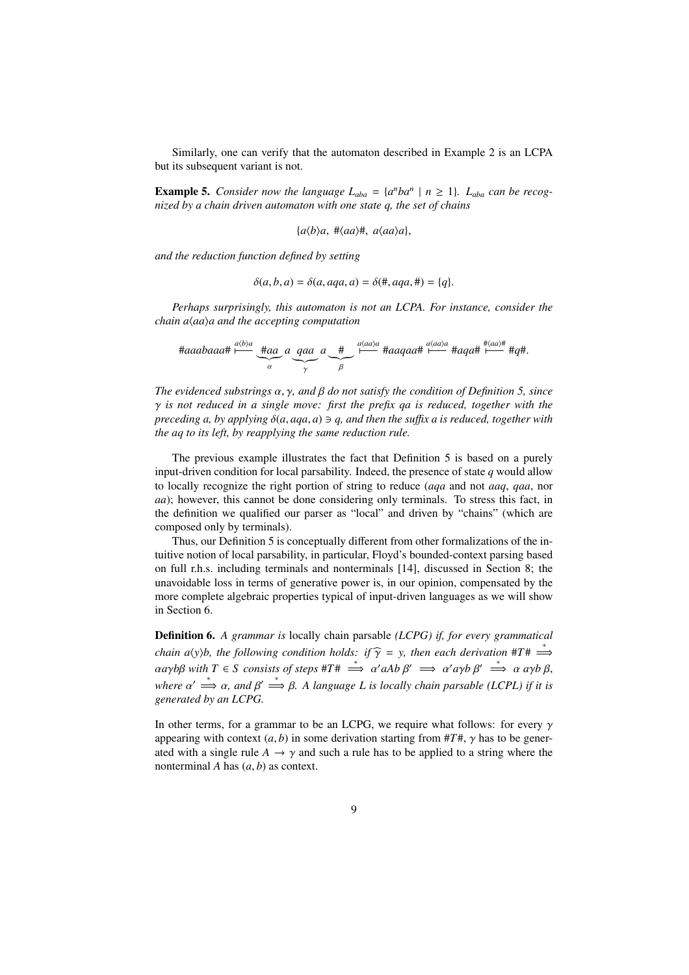Similarly, one can verify that the automaton described in Example 2 is an LCPA but its subsequent variant is not.

**Example 5.** Consider now the language  $L_{aba} = \{a^nba^n \mid n \ge 1\}$ .  $L_{aba}$  can be recog*nized by a chain driven automaton with one state q, the set of chains*

 ${a\langle b\rangle a, \# \langle aa\rangle \#, \ a\langle aa\rangle a},$ 

*and the reduction function defined by setting*

$$
\delta(a, b, a) = \delta(a, aqa, a) = \delta(\#, aqa, \#) = \{q\}.
$$

*Perhaps surprisingly, this automaton is not an LCPA. For instance, consider the chain a*h*aa*i*a and the accepting computation*

$$
\text{Haabaaat } \xrightarrow{\mu(b)a} \underbrace{\text{Haa}}_{\alpha} a \underbrace{qaa}_{\gamma} a \underbrace{\text{#}}_{\beta} \xrightarrow{\mu(aa)a} \text{Haqaat } \xrightarrow{\mu(aa)a} \text{Haqatt } \xrightarrow{\text{#}(aa)} \text{#}q\text{#}.
$$

*The evidenced substrings* α, γ*, and* β *do not satisfy the condition of Definition 5, since* γ *is not reduced in a single move: first the prefix qa is reduced, together with the preceding a, by applying* δ(*a*, *aqa*, *a*) ∋ *q, and then the su*ffi*x a is reduced, together with the aq to its left, by reapplying the same reduction rule.*

The previous example illustrates the fact that Definition 5 is based on a purely input-driven condition for local parsability. Indeed, the presence of state *q* would allow to locally recognize the right portion of string to reduce (*aqa* and not *aaq*, *qaa*, nor *aa*); however, this cannot be done considering only terminals. To stress this fact, in the definition we qualified our parser as "local" and driven by "chains" (which are composed only by terminals).

Thus, our Definition 5 is conceptually different from other formalizations of the intuitive notion of local parsability, in particular, Floyd's bounded-context parsing based on full r.h.s. including terminals and nonterminals [14], discussed in Section 8; the unavoidable loss in terms of generative power is, in our opinion, compensated by the more complete algebraic properties typical of input-driven languages as we will show in Section 6.

Definition 6. *A grammar is* locally chain parsable *(LCPG) if, for every grammatical chain a*(*y*)*b, the following condition holds: if*  $\widehat{\gamma}$  = *y, then each derivation* #*T*#  $\Rightarrow$  $\alpha$ *a*γ*b*β *with*  $T \in S$  consists of steps  $\#T \# \implies \alpha'$ *aAb*  $\beta' \implies \alpha'$ *a*γ*b*  $\beta' \implies \alpha$  *a*γ*b*  $\beta$ , *where*  $\alpha' \stackrel{*}{\Longrightarrow} \alpha$ , and  $\beta' \stackrel{*}{\Longrightarrow} \beta$ . A language L is locally chain parsable (LCPL) if it is *generated by an LCPG.*

In other terms, for a grammar to be an LCPG, we require what follows: for every  $\gamma$ appearing with context  $(a, b)$  in some derivation starting from  $\#T\#$ ,  $\gamma$  has to be generated with a single rule  $A \rightarrow \gamma$  and such a rule has to be applied to a string where the nonterminal *A* has (*a*, *b*) as context.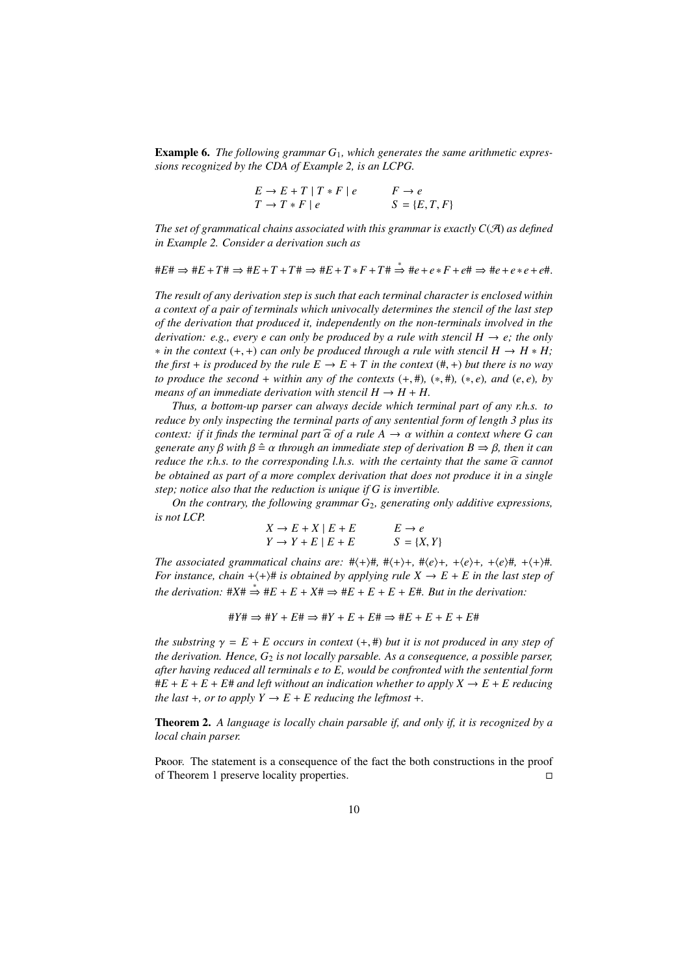Example 6. *The following grammar G*1*, which generates the same arithmetic expressions recognized by the CDA of Example 2, is an LCPG.*

$$
E \to E + T | T * F | e \qquad F \to e
$$
  

$$
T \to T * F | e \qquad S = \{E, T, F\}
$$

*The set of grammatical chains associated with this grammar is exactly*  $C(\mathcal{A})$  *as defined in Example 2. Consider a derivation such as*

 $\#E\# \Rightarrow \#E + T\# \Rightarrow \#E + T + T\# \Rightarrow \#E + T \ast F + T\# \stackrel{*}{\Rightarrow} \#e + e \ast F + e\# \Rightarrow \#e + e \ast e + e\#$ 

*The result of any derivation step is such that each terminal character is enclosed within a context of a pair of terminals which univocally determines the stencil of the last step of the derivation that produced it, independently on the non-terminals involved in the derivation: e.g., every e can only be produced by a rule with stencil*  $H \rightarrow e$ *; the only*  $*$  *in the context* (+, +) *can only be produced through a rule with stencil*  $H \rightarrow H * H$ *; the first* + *is produced by the rule*  $E \rightarrow E + T$  *in the context* (#, +) *but there is no way to produce the second* + *within any of the contexts*  $(+, \#)$ *,*  $(*, \#)$ *,*  $(*, e)$ *, and*  $(e, e)$ *, by means of an immediate derivation with stencil*  $H \rightarrow H + H$ .

*Thus, a bottom-up parser can always decide which terminal part of any r.h.s. to reduce by only inspecting the terminal parts of any sentential form of length 3 plus its context: if it finds the terminal part*  $\widehat{\alpha}$  *of a rule A*  $\rightarrow \alpha$  *within a context where G can generate any β with*  $β \triangleq α$  *through an immediate step of derivation*  $B \Rightarrow β$ *, then it can reduce the r.h.s. to the corresponding l.h.s. with the certainty that the same*  $\widehat{\alpha}$  *cannot be obtained as part of a more complex derivation that does not produce it in a single step; notice also that the reduction is unique if G is invertible.*

*On the contrary, the following grammar G*<sub>2</sub>*, generating only additive expressions, is not LCP.*

$$
X \to E + X \mid E + E
$$
  
\n
$$
Y \to Y + E \mid E + E
$$
  
\n
$$
E \to e
$$
  
\n
$$
S = \{X, Y\}
$$

*The associated grammatical chains are:*  $\# \langle + \rangle \#$ ,  $\# \langle + \rangle +$ ,  $\# \langle e \rangle +$ ,  $\# \langle e \rangle +$ ,  $\# \langle e \rangle \#$ ,  $\# \langle + \rangle \#$ . *For instance, chain*  $+\langle +\rangle$ # *is obtained by applying rule X*  $\rightarrow$  *E* + *E in the last step of*  $the derivation: \#X\# \stackrel{*}{\Rightarrow} \#E + E + X\# \Rightarrow \#E + E + E + E + E\#$ . But in the derivation:

$$
\#Y\#\Rightarrow\#Y+E\#\Rightarrow\#Y+E+E\#\Rightarrow\#E+E+E+E+E\#
$$

*the substring*  $\gamma = E + E$  *occurs in context* (+, #) *but it is not produced in any step of the derivation. Hence, G*<sup>2</sup> *is not locally parsable. As a consequence, a possible parser, after having reduced all terminals e to E, would be confronted with the sentential form*  $\#E + E + E + E$  and left without an indication whether to apply  $X \to E + E$  reducing *the last* +*, or to apply*  $Y \rightarrow E + E$  *reducing the leftmost* +*.* 

Theorem 2. *A language is locally chain parsable if, and only if, it is recognized by a local chain parser.*

Proof. The statement is a consequence of the fact the both constructions in the proof of Theorem 1 preserve locality properties.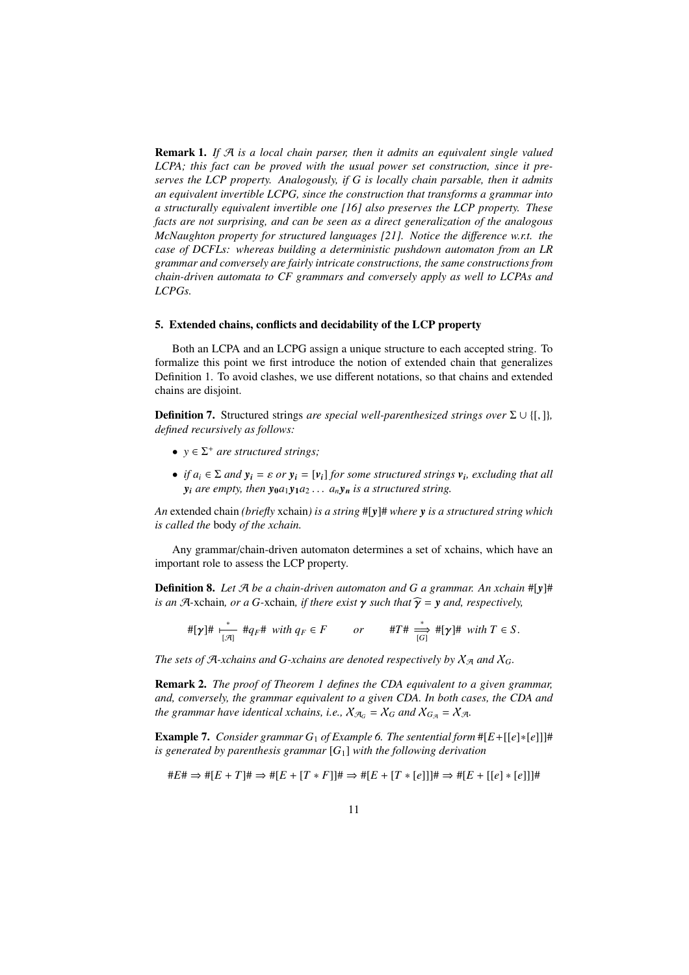Remark 1. *If* A *is a local chain parser, then it admits an equivalent single valued LCPA; this fact can be proved with the usual power set construction, since it preserves the LCP property. Analogously, if G is locally chain parsable, then it admits an equivalent invertible LCPG, since the construction that transforms a grammar into a structurally equivalent invertible one [16] also preserves the LCP property. These facts are not surprising, and can be seen as a direct generalization of the analogous McNaughton property for structured languages [21]. Notice the di*ff*erence w.r.t. the case of DCFLs: whereas building a deterministic pushdown automaton from an LR grammar and conversely are fairly intricate constructions, the same constructions from chain-driven automata to CF grammars and conversely apply as well to LCPAs and LCPGs.*

# 5. Extended chains, conflicts and decidability of the LCP property

Both an LCPA and an LCPG assign a unique structure to each accepted string. To formalize this point we first introduce the notion of extended chain that generalizes Definition 1. To avoid clashes, we use different notations, so that chains and extended chains are disjoint.

**Definition 7.** Structured strings *are special well-parenthesized strings over*  $\Sigma \cup \{[\cdot,\cdot]\}$ *, defined recursively as follows:*

- $y \in \Sigma^+$  *are structured strings;*
- *if*  $a_i \in \Sigma$  *and*  $y_i = \varepsilon$  *or*  $y_i = [v_i]$  *for some structured strings*  $v_i$ *, excluding that all y*<sub>*i*</sub> *are empty, then*  $y_0a_1y_1a_2... a_ny_n$  *is a structured string.*

*An* extended chain *(briefly* xchain*) is a string* #[*y*]# *where y is a structured string which is called the* body *of the xchain.*

Any grammar/chain-driven automaton determines a set of xchains, which have an important role to assess the LCP property.

Definition 8. *Let* A *be a chain-driven automaton and G a grammar. An xchain* #[*y*]# *is an*  $\mathcal{A}$ -xchain, *or a* G-xchain, *if there exist*  $\gamma$  *such that*  $\hat{\gamma} = \gamma$  *and, respectively,* 

$$
\#[\gamma]\#\underset{[\mathcal{A}]}{\ast}\#q_F\#\text{ with }q_F\in F\qquad or\qquad\#T\#\underset{[G]}{\xrightarrow{\ast}}\#[\gamma]\#\text{ with }T\in S.
$$

*The sets of A-xchains and G-xchains are denoted respectively by*  $X_{\mathcal{A}}$  *and*  $X_G$ *.* 

Remark 2. *The proof of Theorem 1 defines the CDA equivalent to a given grammar, and, conversely, the grammar equivalent to a given CDA. In both cases, the CDA and the grammar have identical xchains, i.e.,*  $X_{\mathcal{A}_G} = X_G$  *and*  $X_{G_{\mathcal{A}}} = X_{\mathcal{A}}$ *.* 

**Example 7.** *Consider grammar*  $G_1$  *of Example* 6. *The sentential form*  $#[E+[[e]*[e]]]$ # *is generated by parenthesis grammar* [*G*1] *with the following derivation*

$$
\#E\# \Rightarrow \#[E+T]\# \Rightarrow \#[E+[T*F]]\# \Rightarrow \#[E+[T*[e]]]\# \Rightarrow \#[E+[[e]*[e]]]\#
$$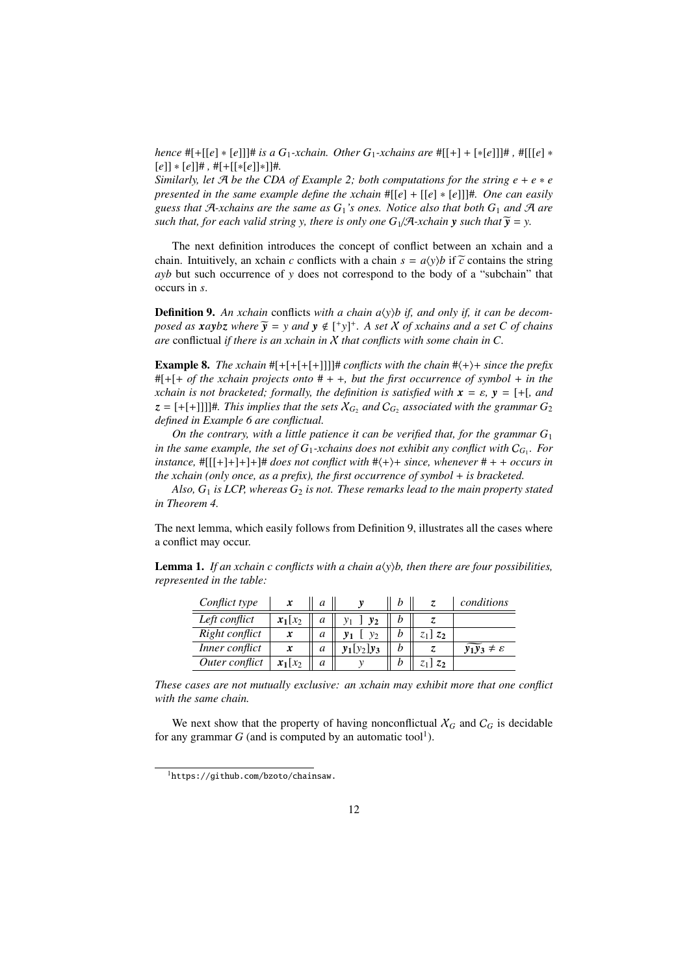*hence*  $#[+[[e] * [e]]]$  *# is a*  $G_1$ *-xchain. Other*  $G_1$ *-xchains are*  $#[[+]+[*[e]]]$  *#*  $#[[[e] *$ [*e*]] ∗ [*e*]]# *,* #[+[[∗[*e*]]∗]]#*.*

*Similarly, let*  $\mathcal{A}$  *be the CDA of Example 2; both computations for the string*  $e + e * e$ *presented in the same example define the xchain* #[[*e*] + [[*e*] ∗ [*e*]]]#*. One can easily guess that* A*-xchains are the same as G*1*'s ones. Notice also that both G*<sup>1</sup> *and* A *are such that, for each valid string y, there is only one*  $G_1/\mathcal{A}$ *-xchain y <i>such that*  $\tilde{y} = y$ .

The next definition introduces the concept of conflict between an xchain and a chain. Intuitively, an xchain *c* conflicts with a chain  $s = a\langle y \rangle b$  if  $\tilde{c}$  contains the string *ayb* but such occurrence of *y* does not correspond to the body of a "subchain" that occurs in *s*.

**Definition 9.** An xchain conflicts with a chain  $a(y)$ b if, and only if, it can be decom*posed as*  $xaybz$  *where*  $\widetilde{y} = y$  *and*  $y \notin [\n\text{# } y]$ <sup>+</sup>. A set X of *xchains and a set* C of *chains are* conflictual *if there is an xchain in* X *that conflicts with some chain in C.*

**Example 8.** *The xchain*  $#[+[+[+]]]$ ]# *conflicts with the chain*  $#(+)+$  *since the prefix* #[+[+ *of the xchain projects onto* # + +*, but the first occurrence of symbol* + *in the xchain is not bracketed; formally, the definition is satisfied with*  $\mathbf{x} = \varepsilon$ ,  $\mathbf{y} = [+$ , and  $z = [+[+]]]$ ]#. This implies that the sets  $X_{G_2}$  and  $C_{G_2}$  associated with the grammar  $G_2$ *defined in Example 6 are conflictual.*

*On the contrary, with a little patience it can be verified that, for the grammar G*<sup>1</sup> *in the same example, the set of G*1*-xchains does not exhibit any conflict with* C*<sup>G</sup>*<sup>1</sup> *. For instance,*  $\#[[[+] + ] + ] + \#$  *does not conflict with*  $\#(+)+$  *since, whenever*  $\# + +$  *occurs in the xchain (only once, as a prefix), the first occurrence of symbol* + *is bracketed.*

Also,  $G_1$  *is LCP*, whereas  $G_2$  *is not. These remarks lead to the main property stated in Theorem 4.*

The next lemma, which easily follows from Definition 9, illustrates all the cases where a conflict may occur.

**Lemma 1.** *If an xchain c conflicts with a chain*  $a\langle y \rangle b$ *, then there are four possibilities, represented in the table:*

| Conflict type  | x          | a |                |   |               | conditions                            |
|----------------|------------|---|----------------|---|---------------|---------------------------------------|
| Left conflict  | $x_1[x_2]$ | a | v <sub>2</sub> |   |               |                                       |
| Right conflict | x          | a | y <sub>2</sub> |   | $z_1$ ] $z_2$ |                                       |
| Inner conflict | x          | a | $y_1[y_2]y_3$  | h |               | $\widetilde{y_1y_3} \neq \varepsilon$ |
| Outer conflict | $x_1[x_2]$ | a |                |   | $z_1$ ] $z_2$ |                                       |

*These cases are not mutually exclusive: an xchain may exhibit more that one conflict with the same chain.*

We next show that the property of having nonconflictual  $X_G$  and  $C_G$  is decidable for any grammar  $G$  (and is computed by an automatic tool<sup>1</sup>).

<sup>1</sup>https://github.com/bzoto/chainsaw.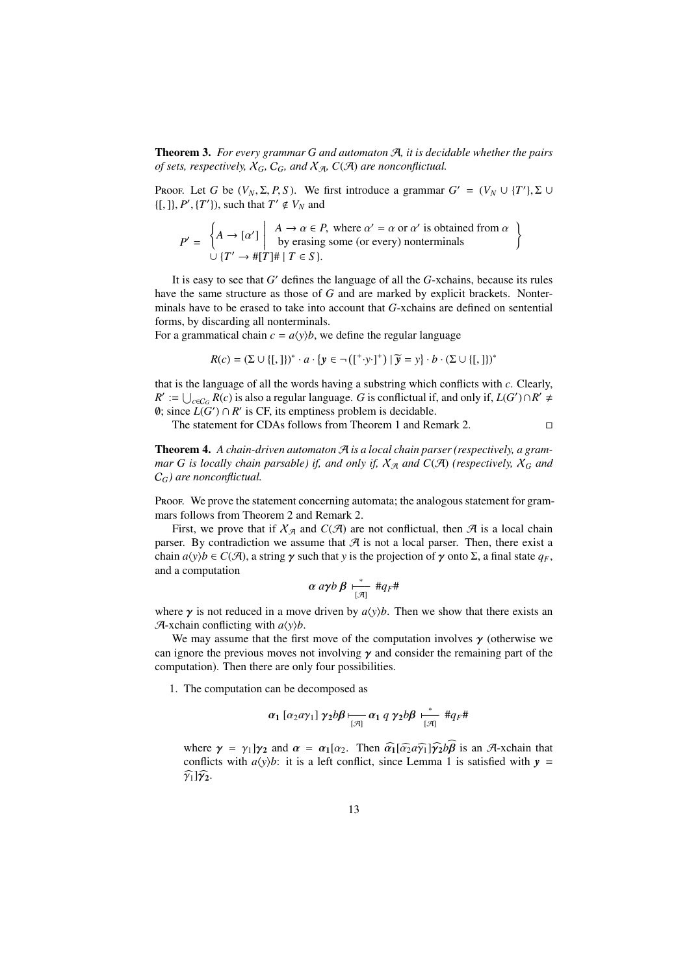Theorem 3. *For every grammar G and automaton* A*, it is decidable whether the pairs of sets, respectively,*  $X_G$ ,  $C_G$ *, and*  $X_{\mathcal{A}}$ ,  $C(\mathcal{A})$  *are nonconflictual.* 

Proof. Let *G* be  $(V_N, \Sigma, P, S)$ . We first introduce a grammar  $G' = (V_N \cup \{T'\}, \Sigma \cup \{T'\})$  $\{[, \], P', \{T'\}\}\)$ , such that  $T' \notin V_N$  and

$$
P' = \begin{cases} A \rightarrow [\alpha'] \mid A \rightarrow \alpha \in P, \text{ where } \alpha' = \alpha \text{ or } \alpha' \text{ is obtained from } \alpha \\ \text{by erasing some (or every) nonterminals} \\ \cup \{T' \rightarrow \#[T]\# \mid T \in S\}. \end{cases}
$$

It is easy to see that *G* ′ defines the language of all the *G*-xchains, because its rules have the same structure as those of *G* and are marked by explicit brackets. Nonterminals have to be erased to take into account that *G*-xchains are defined on sentential forms, by discarding all nonterminals.

For a grammatical chain  $c = a\langle y \rangle b$ , we define the regular language

$$
R(c) = (\Sigma \cup \{[, ]\})^* \cdot a \cdot \{y \in \neg(([^+ y \cdot ]^+) \mid \widetilde{y} = y\} \cdot b \cdot (\Sigma \cup \{[, ]\})^*
$$

that is the language of all the words having a substring which conflicts with *c*. Clearly,  $R' := \bigcup_{c \in C_G} R(c)$  is also a regular language. *G* is conflictual if, and only if, *L*(*G*')∩*R'*  $\neq$ 0; since  $L(G')$  ∩  $R'$  is CF, its emptiness problem is decidable.

The statement for CDAs follows from Theorem 1 and Remark 2.

Theorem 4. *A chain-driven automaton* A *is a local chain parser (respectively, a grammar G is locally chain parsable) if, and only if,*  $X_{\mathcal{A}}$  *and*  $C(\mathcal{A})$  *(respectively,*  $X_G$  *and* C*G) are nonconflictual.*

Proof. We prove the statement concerning automata; the analogous statement for grammars follows from Theorem 2 and Remark 2.

First, we prove that if  $\mathcal{X}_{\mathcal{A}}$  and  $C(\mathcal{A})$  are not conflictual, then  $\mathcal{A}$  is a local chain parser. By contradiction we assume that  $A$  is not a local parser. Then, there exist a chain  $a\langle y \rangle b \in C(\mathcal{A})$ , a string  $\gamma$  such that *y* is the projection of  $\gamma$  onto  $\Sigma$ , a final state  $q_F$ , and a computation

$$
\alpha\,a\gamma b\,\beta\;{\xrightarrow[{\mathcal{A}}]} \; \#q_F\#
$$

where  $\gamma$  is not reduced in a move driven by  $a(y)$ *b*. Then we show that there exists an  $\mathcal{A}$ -xchain conflicting with  $a\langle y \rangle b$ .

We may assume that the first move of the computation involves  $\gamma$  (otherwise we can ignore the previous moves not involving  $\gamma$  and consider the remaining part of the computation). Then there are only four possibilities.

1. The computation can be decomposed as

$$
\alpha_1 [\alpha_2 a \gamma_1] \gamma_2 b \beta \underset{[\mathcal{A}]}{\longmapsto} \alpha_1 q \gamma_2 b \beta \underset{[\mathcal{A}]}{\ast} \#q_F \#
$$

where  $\gamma = \gamma_1 \gamma_2$  and  $\alpha = \alpha_1[\alpha_2]$ . Then  $\widehat{\alpha_1}[\widehat{\alpha_2} \alpha \widehat{\gamma_1}]\widehat{\gamma_2} \widehat{\beta}$  is an A-xchain that conflicts with  $a(y)$ *b*: it is a left conflict, since Lemma 1 is satisfied with  $y =$  $\widehat{\gamma_1}$ ] $\widehat{\gamma_2}$ .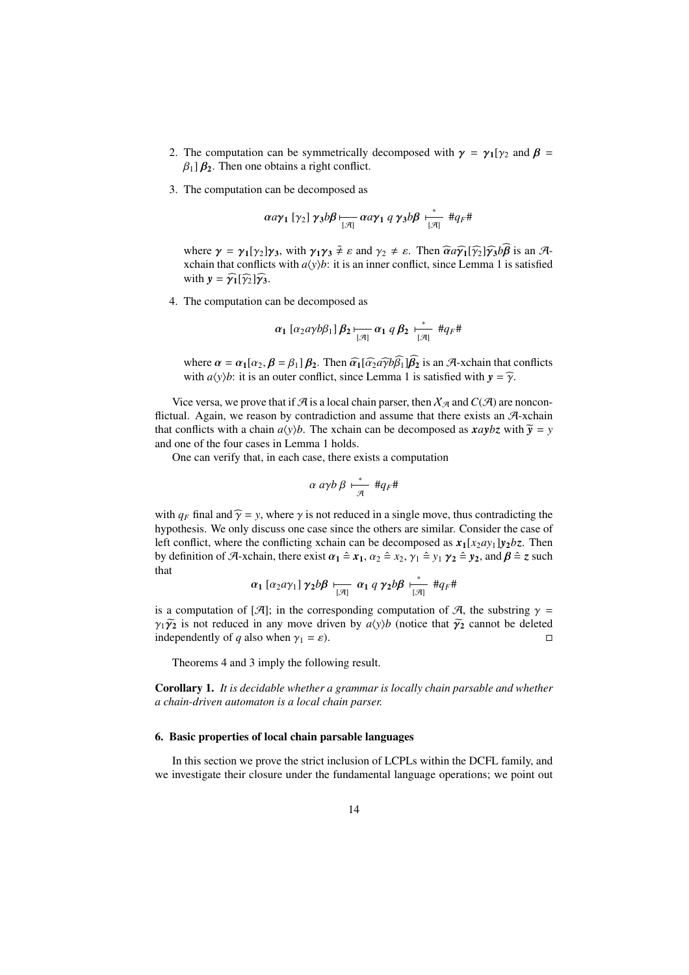- 2. The computation can be symmetrically decomposed with  $\gamma = \gamma_1[\gamma_2]$  and  $\beta =$  $\beta_1$ ]  $\beta_2$ . Then one obtains a right conflict.
- 3. The computation can be decomposed as

$$
\alpha a \gamma_1 [\gamma_2] \gamma_3 b \beta \longmapsto \alpha a \gamma_1 q \gamma_3 b \beta \longmapsto_{[\mathcal{A}]}^* \#q_F \#
$$

where  $\gamma = \gamma_1[\gamma_2]\gamma_3$ , with  $\gamma_1\gamma_3 \tilde{\neq} \varepsilon$  and  $\gamma_2 \neq \varepsilon$ . Then  $\widehat{\alpha}a\widehat{\gamma_1}[\widehat{\gamma_2}]\widehat{\gamma_3}b\widehat{\beta}$  is an Axchain that conflicts with  $a(y)$ *b*: it is an inner conflict, since Lemma 1 is satisfied with  $y = \hat{\gamma_1}[\hat{\gamma_2}]\hat{\gamma_3}$ .

4. The computation can be decomposed as

$$
\alpha_1\left[\alpha_2a\gamma b\beta_1\right]\beta_2\underset{[\mathcal{A}]}{\longmapsto}\alpha_1\ q\ \beta_2\underset{[\mathcal{A}]}{\longmapsto}\#q_F\#
$$

where  $\alpha = \alpha_1[\alpha_2, \beta = \beta_1|\beta_2]$ . Then  $\widehat{\alpha_1}[\widehat{\alpha_2}a\widehat{\gamma}b\widehat{\beta_1}]\widehat{\beta_2}$  is an A-xchain that conflicts with  $a(y)$ *b*: it is an outer conflict, since Lemma 1 is satisfied with  $y = \hat{\gamma}$ .

Vice versa, we prove that if  $\mathcal A$  is a local chain parser, then  $\mathcal X_{\mathcal A}$  and  $C(\mathcal A)$  are nonconflictual. Again, we reason by contradiction and assume that there exists an A-xchain that conflicts with a chain  $a(y)$ *b*. The xchain can be decomposed as  $xaybz$  with  $\tilde{y} = y$ and one of the four cases in Lemma 1 holds.

One can verify that, in each case, there exists a computation

$$
\alpha \, a\gamma b \, \beta \, \stackrel{*}{\overline{\mathcal{A}}} \, \sharp q_F \sharp
$$

with  $q_F$  final and  $\hat{\gamma} = y$ , where  $\gamma$  is not reduced in a single move, thus contradicting the hypothesis. We only discuss one case since the others are similar. Consider the case of left conflict, where the conflicting xchain can be decomposed as  $x_1[x_2ay_1]y_2bz$ . Then by definition of A-xchain, there exist  $\alpha_1 \triangleq x_1$ ,  $\alpha_2 \triangleq x_2$ ,  $\gamma_1 \triangleq y_1$   $\gamma_2 \triangleq y_2$ , and  $\beta \triangleq z$  such that

$$
\alpha_1\left[\alpha_2a\gamma_1\right]\gamma_2b\beta\underset{[\mathcal{A}]}{\longleftarrow}\alpha_1\ q\ \gamma_2b\beta\underset{[\mathcal{A}]}{\overset{*}{\longleftarrow}}\#q_F\#
$$

is a computation of [A]; in the corresponding computation of A, the substring  $\gamma$  =  $\gamma_1 \widetilde{\gamma_2}$  is not reduced in any move driven by  $a\langle y \rangle b$  (notice that  $\widetilde{\gamma_2}$  cannot be deleted independently of *a* also when  $\gamma_1 = \varepsilon$ ). independently of *q* also when  $\gamma_1 = \varepsilon$ ).

Theorems 4 and 3 imply the following result.

Corollary 1. *It is decidable whether a grammar is locally chain parsable and whether a chain-driven automaton is a local chain parser.*

#### 6. Basic properties of local chain parsable languages

In this section we prove the strict inclusion of LCPLs within the DCFL family, and we investigate their closure under the fundamental language operations; we point out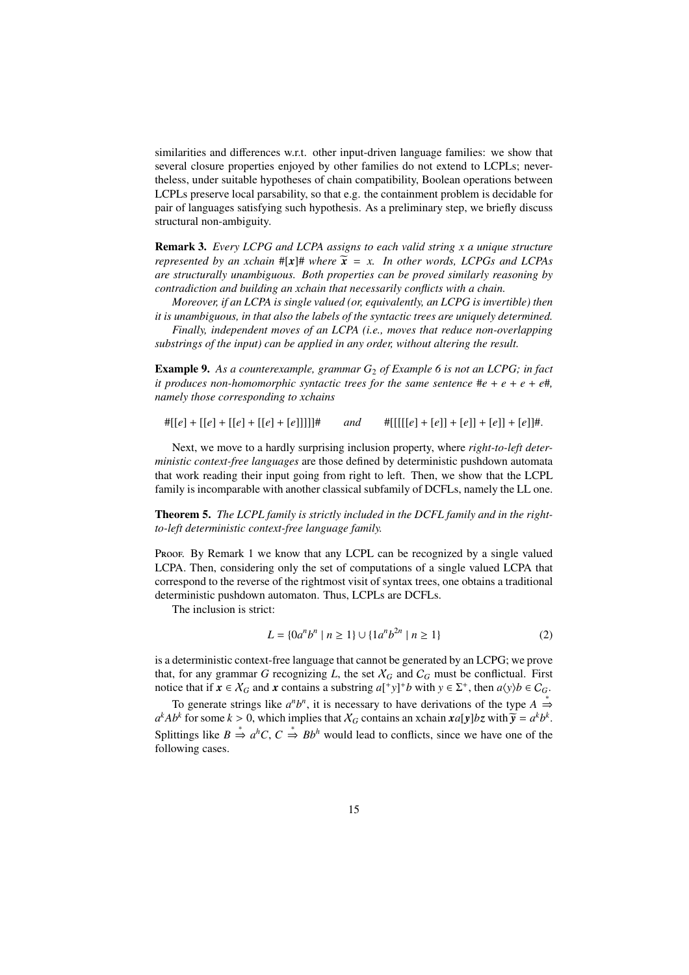similarities and differences w.r.t. other input-driven language families: we show that several closure properties enjoyed by other families do not extend to LCPLs; nevertheless, under suitable hypotheses of chain compatibility, Boolean operations between LCPLs preserve local parsability, so that e.g. the containment problem is decidable for pair of languages satisfying such hypothesis. As a preliminary step, we briefly discuss structural non-ambiguity.

Remark 3. *Every LCPG and LCPA assigns to each valid string x a unique structure represented by an xchain*  $\#[x]\#$  *where*  $\widetilde{x} = x$ *. In other words, LCPGs and LCPAs are structurally unambiguous. Both properties can be proved similarly reasoning by contradiction and building an xchain that necessarily conflicts with a chain.*

*Moreover, if an LCPA is single valued (or, equivalently, an LCPG is invertible) then it is unambiguous, in that also the labels of the syntactic trees are uniquely determined.*

*Finally, independent moves of an LCPA (i.e., moves that reduce non-overlapping substrings of the input) can be applied in any order, without altering the result.*

Example 9. *As a counterexample, grammar G*<sup>2</sup> *of Example 6 is not an LCPG; in fact it produces non-homomorphic syntactic trees for the same sentence*  $\#e + e + e + e\#$ , *namely those corresponding to xchains*

 $\#[[e] + [[e] + [[e] + [[e] + [e]]]]]\#$  *and*  $\#[[[[[e] + [e]] + [e]] + [e]] + [e]]\#$ .

Next, we move to a hardly surprising inclusion property, where *right-to-left deterministic context-free languages* are those defined by deterministic pushdown automata that work reading their input going from right to left. Then, we show that the LCPL family is incomparable with another classical subfamily of DCFLs, namely the LL one.

Theorem 5. *The LCPL family is strictly included in the DCFL family and in the rightto-left deterministic context-free language family.*

Proof. By Remark 1 we know that any LCPL can be recognized by a single valued LCPA. Then, considering only the set of computations of a single valued LCPA that correspond to the reverse of the rightmost visit of syntax trees, one obtains a traditional deterministic pushdown automaton. Thus, LCPLs are DCFLs.

The inclusion is strict:

$$
L = \{0a^n b^n \mid n \ge 1\} \cup \{1a^n b^{2n} \mid n \ge 1\}
$$
 (2)

is a deterministic context-free language that cannot be generated by an LCPG; we prove that, for any grammar *G* recognizing *L*, the set  $X_G$  and  $C_G$  must be conflictual. First notice that if  $x \in X_G$  and  $x$  contains a substring  $a[^+y]^+b$  with  $y \in \Sigma^+$ , then  $a\langle y \rangle b \in C_G$ .

To generate strings like  $a^n b^n$ , it is necessary to have derivations of the type  $A \stackrel{*}{\Rightarrow}$  $a^kAb^k$  for some  $k > 0$ , which implies that  $X_G$  contains an xchain  $xa[y]bz$  with  $\tilde{y} = a^k b^k$ . Splittings like  $B \stackrel{*}{\Rightarrow} a^hC$ ,  $C \stackrel{*}{\Rightarrow} Bb^h$  would lead to conflicts, since we have one of the following cases.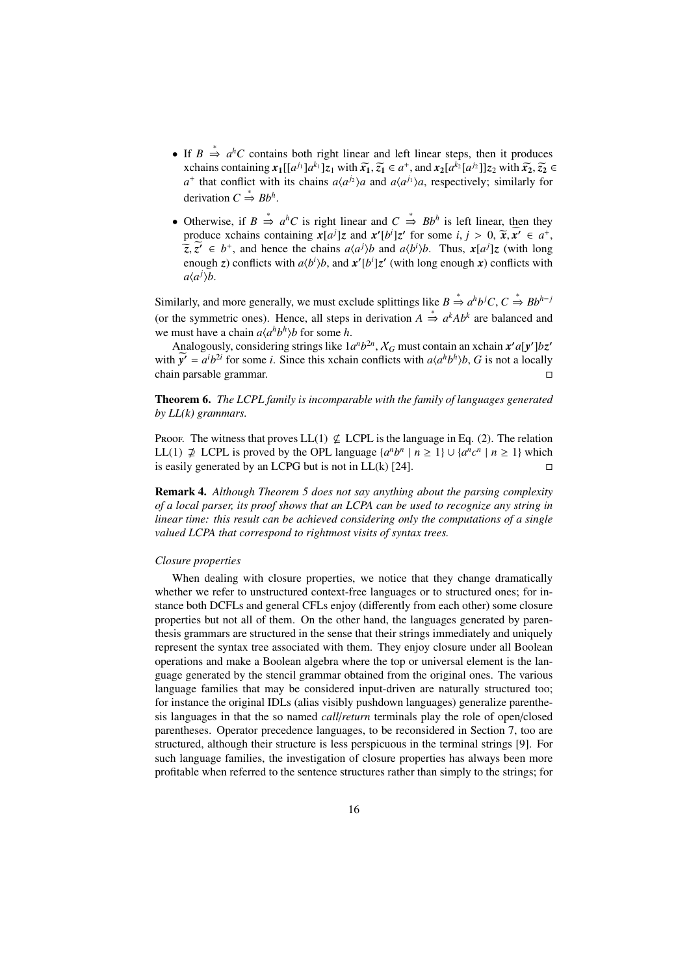- If  $B \stackrel{*}{\Rightarrow} a^hC$  contains both right linear and left linear steps, then it produces *x*chains containing  $x_1[[a^{j_1}]a^{k_1}]z_1$  with  $\tilde{x_1}, \tilde{z_1} \in a^+$ , and  $x_2[a^{k_2}[a^{j_2}]]z_2$  with  $\tilde{x_2}, \tilde{z_2} \in a^+$  $a^+$  that conflict with its chains  $a\langle a^{j_2}\rangle a$  and  $a\langle a^{j_1}\rangle a$ , respectively; similarly for derivation  $C \stackrel{*}{\Rightarrow} Bb^h$ .
- Otherwise, if  $B \stackrel{*}{\Rightarrow} a^hC$  is right linear and  $C \stackrel{*}{\Rightarrow} Bb^h$  is left linear, then they produce xchains containing  $x[a^j]z$  and  $x'[b^j]z'$  for some  $i, j > 0$ ,  $\tilde{x}, \tilde{x'} \in a^+,$  $\tilde{z}, \tilde{z}' \in b^+$ , and hence the chains  $a\langle a^j \rangle b$  and  $a\langle b^i \rangle b$ . Thus,  $x[a^j]z$  (with long enough *z*) conflicts with  $a\langle b^i \rangle b$ , and  $x'[b^i]z'$  (with long enough *x*) conflicts with  $a\langle a^j \rangle b$ .

Similarly, and more generally, we must exclude splittings like  $B \stackrel{*}{\Rightarrow} a^h b^j C$ ,  $C \stackrel{*}{\Rightarrow} B b^{h-j}$ (or the symmetric ones). Hence, all steps in derivation  $A \stackrel{*}{\Rightarrow} a^k Ab^k$  are balanced and we must have a chain  $a\langle a^h b^h \rangle b$  for some *h*.

Analogously, considering strings like  $1a^n b^{2n}$ ,  $X_G$  must contain an xchain  $x'a[y']bz'$ with  $\widetilde{y'} = a^i b^{2i}$  for some *i*. Since this xchain conflicts with  $a \langle a^h b^h \rangle b$ , *G* is not a locally chain parsable grammar.

Theorem 6. *The LCPL family is incomparable with the family of languages generated by LL(k) grammars.*

Proof. The witness that proves LL(1)  $\not\subseteq$  LCPL is the language in Eq. (2). The relation LL(1)  $\neq$  LCPL is proved by the OPL language  $\{a^n b^n \mid n \ge 1\}$  ∪  $\{a^n c^n \mid n \ge 1\}$  which is easily generated by an LCPG but is not in LL(k) [24].  $\square$ 

Remark 4. *Although Theorem 5 does not say anything about the parsing complexity of a local parser, its proof shows that an LCPA can be used to recognize any string in linear time: this result can be achieved considering only the computations of a single valued LCPA that correspond to rightmost visits of syntax trees.*

# *Closure properties*

When dealing with closure properties, we notice that they change dramatically whether we refer to unstructured context-free languages or to structured ones; for instance both DCFLs and general CFLs enjoy (differently from each other) some closure properties but not all of them. On the other hand, the languages generated by parenthesis grammars are structured in the sense that their strings immediately and uniquely represent the syntax tree associated with them. They enjoy closure under all Boolean operations and make a Boolean algebra where the top or universal element is the language generated by the stencil grammar obtained from the original ones. The various language families that may be considered input-driven are naturally structured too; for instance the original IDLs (alias visibly pushdown languages) generalize parenthesis languages in that the so named *call*/*return* terminals play the role of open/closed parentheses. Operator precedence languages, to be reconsidered in Section 7, too are structured, although their structure is less perspicuous in the terminal strings [9]. For such language families, the investigation of closure properties has always been more profitable when referred to the sentence structures rather than simply to the strings; for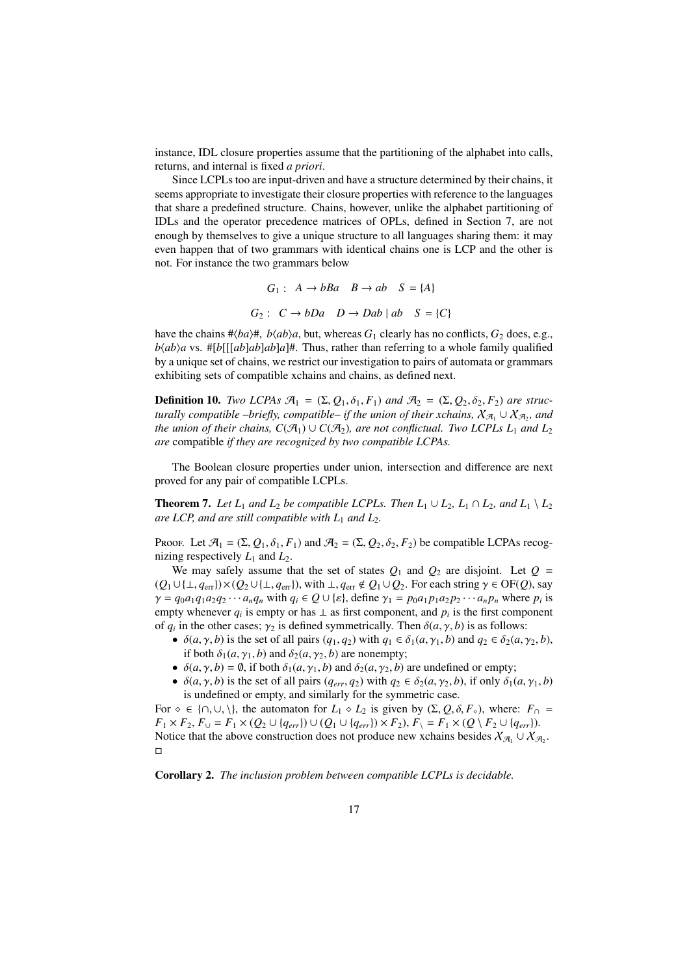instance, IDL closure properties assume that the partitioning of the alphabet into calls, returns, and internal is fixed *a priori*.

Since LCPLs too are input-driven and have a structure determined by their chains, it seems appropriate to investigate their closure properties with reference to the languages that share a predefined structure. Chains, however, unlike the alphabet partitioning of IDLs and the operator precedence matrices of OPLs, defined in Section 7, are not enough by themselves to give a unique structure to all languages sharing them: it may even happen that of two grammars with identical chains one is LCP and the other is not. For instance the two grammars below

$$
G_1: A \to bBa \quad B \to ab \quad S = \{A\}
$$
  

$$
G_2: C \to bDa \quad D \to Dab \mid ab \quad S = \{C\}
$$

have the chains  $\#$ *(ba)* $\#$ , *b*/*ab*)*a*, but, whereas *G*<sub>1</sub> clearly has no conflicts, *G*<sub>2</sub> does, e.g.,  $b \langle ab \rangle a$  vs. #[ $b$ [[[ $ab$ ] $ab$ ] $ab$ ] $a$ ]#. Thus, rather than referring to a whole family qualified by a unique set of chains, we restrict our investigation to pairs of automata or grammars exhibiting sets of compatible xchains and chains, as defined next.

**Definition 10.** *Two LCPAs*  $\mathcal{A}_1 = (\Sigma, Q_1, \delta_1, F_1)$  *and*  $\mathcal{A}_2 = (\Sigma, Q_2, \delta_2, F_2)$  *are structurally compatible –briefly, compatible– if the union of their xchains,*  $\chi_{\mathcal{A}_1} \cup \chi_{\mathcal{A}_2}$ *, and the union of their chains, C*( $\mathcal{A}_1$ )  $\cup$  *C*( $\mathcal{A}_2$ )*, are not conflictual. Two LCPLs L<sub>1</sub> and L<sub>2</sub> are* compatible *if they are recognized by two compatible LCPAs.*

The Boolean closure properties under union, intersection and difference are next proved for any pair of compatible LCPLs.

**Theorem 7.** Let  $L_1$  and  $L_2$  be compatible LCPLs. Then  $L_1 \cup L_2$ ,  $L_1 \cap L_2$ , and  $L_1 \setminus L_2$ *are LCP, and are still compatible with*  $L_1$  *and*  $L_2$ *.* 

Proof. Let  $\mathcal{A}_1 = (\Sigma, Q_1, \delta_1, F_1)$  and  $\mathcal{A}_2 = (\Sigma, Q_2, \delta_2, F_2)$  be compatible LCPAs recognizing respectively  $L_1$  and  $L_2$ .

We may safely assume that the set of states  $Q_1$  and  $Q_2$  are disjoint. Let  $Q =$  $(Q_1 \cup \{\perp, q_{\text{err}}\}) \times (Q_2 \cup \{\perp, q_{\text{err}}\})$ , with  $\perp, q_{\text{err}} \notin Q_1 \cup Q_2$ . For each string  $\gamma \in \text{OF}(Q)$ , say  $\gamma = q_0 a_1 q_1 a_2 q_2 \cdots a_n q_n$  with  $q_i \in Q \cup \{\varepsilon\}$ , define  $\gamma_1 = p_0 a_1 p_1 a_2 p_2 \cdots a_n p_n$  where  $p_i$  is empty whenever  $q_i$  is empty or has  $\perp$  as first component, and  $p_i$  is the first component of  $q_i$  in the other cases;  $\gamma_2$  is defined symmetrically. Then  $\delta(a, \gamma, b)$  is as follows:

- $\delta(a, \gamma, b)$  is the set of all pairs  $(q_1, q_2)$  with  $q_1 \in \delta_1(a, \gamma_1, b)$  and  $q_2 \in \delta_2(a, \gamma_2, b)$ , if both  $\delta_1(a, \gamma_1, b)$  and  $\delta_2(a, \gamma_2, b)$  are nonempty;
- $\delta(a, \gamma, b) = \emptyset$ , if both  $\delta_1(a, \gamma_1, b)$  and  $\delta_2(a, \gamma_2, b)$  are undefined or empty;
- $\delta(a, \gamma, b)$  is the set of all pairs  $(q_{err}, q_2)$  with  $q_2 \in \delta_2(a, \gamma_2, b)$ , if only  $\delta_1(a, \gamma_1, b)$ is undefined or empty, and similarly for the symmetric case.

For  $\circ \in \{\cap, \cup, \setminus\}$ , the automaton for  $L_1 \circ L_2$  is given by  $(\Sigma, Q, \delta, F_{\circ})$ , where:  $F_{\cap} =$ *F*<sub>1</sub> × *F*<sub>2</sub>, *F*<sub>∪</sub> = *F*<sub>1</sub> × (*Q*<sub>2</sub> ∪ {*q<sub>err</sub>*}) ∪ (*Q*<sub>1</sub> ∪ {*q<sub>err</sub>*}) × *F*<sub>2</sub>), *F*<sub>\</sub> = *F*<sub>1</sub> × (*Q* \ *F*<sub>2</sub> ∪ {*q<sub>err</sub>*}). Notice that the above construction does not produce new xchains besides  $X_{\mathcal{A}_1} \cup X_{\mathcal{A}_2}$ .  $\Box$ 

Corollary 2. *The inclusion problem between compatible LCPLs is decidable.*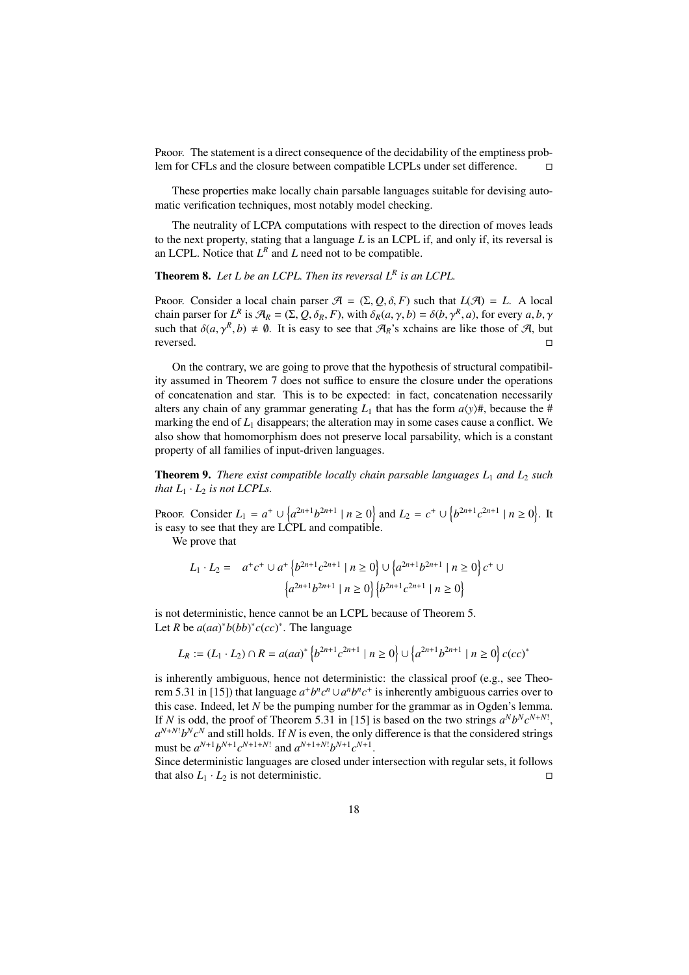Proof. The statement is a direct consequence of the decidability of the emptiness problem for CFLs and the closure between compatible LCPLs under set difference.

These properties make locally chain parsable languages suitable for devising automatic verification techniques, most notably model checking.

The neutrality of LCPA computations with respect to the direction of moves leads to the next property, stating that a language *L* is an LCPL if, and only if, its reversal is an LCPL. Notice that  $L^R$  and  $L$  need not to be compatible.

Theorem 8. *Let L be an LCPL. Then its reversal L<sup>R</sup> is an LCPL.*

Proof. Consider a local chain parser  $A = (\Sigma, Q, \delta, F)$  such that  $L(A) = L$ . A local chain parser for  $L^R$  is  $\mathcal{A}_R = (\Sigma, Q, \delta_R, F)$ , with  $\delta_R(a, \gamma, b) = \delta(b, \gamma^R, a)$ , for every  $a, b, \gamma$ such that  $\delta(a, \gamma^R, b) \neq \emptyset$ . It is easy to see that  $\mathcal{A}_R$ 's xchains are like those of  $\mathcal{A}$ , but reversed.

On the contrary, we are going to prove that the hypothesis of structural compatibility assumed in Theorem 7 does not suffice to ensure the closure under the operations of concatenation and star. This is to be expected: in fact, concatenation necessarily alters any chain of any grammar generating  $L_1$  that has the form  $a\langle y\rangle #$ , because the # marking the end of  $L_1$  disappears; the alteration may in some cases cause a conflict. We also show that homomorphism does not preserve local parsability, which is a constant property of all families of input-driven languages.

Theorem 9. *There exist compatible locally chain parsable languages L*<sup>1</sup> *and L*<sup>2</sup> *such that*  $L_1 \cdot L_2$  *is not LCPLs.* 

Proof. Consider  $L_1 = a^+ \cup \{a^{2n+1}b^{2n+1} \mid n \ge 0\}$  and  $L_2 = c^+ \cup \{b^{2n+1}c^{2n+1} \mid n \ge 0\}$ . It is easy to see that they are LCPL and compatible.

We prove that

$$
L_1 \cdot L_2 = a^+ c^+ \cup a^+ \left\{ b^{2n+1} c^{2n+1} \mid n \ge 0 \right\} \cup \left\{ a^{2n+1} b^{2n+1} \mid n \ge 0 \right\} c^+ \cup \left\{ a^{2n+1} b^{2n+1} \mid n \ge 0 \right\} \left\{ b^{2n+1} c^{2n+1} \mid n \ge 0 \right\}
$$

is not deterministic, hence cannot be an LCPL because of Theorem 5. Let *R* be  $a(aa)^*b(bb)^*c(cc)^*$ . The language

$$
L_R := (L_1 \cdot L_2) \cap R = a(aa)^* \left\{ b^{2n+1} c^{2n+1} \mid n \ge 0 \right\} \cup \left\{ a^{2n+1} b^{2n+1} \mid n \ge 0 \right\} c(cc)^*
$$

is inherently ambiguous, hence not deterministic: the classical proof (e.g., see Theorem 5.31 in [15]) that language  $a^+b^nc^n \cup a^n b^nc^+$  is inherently ambiguous carries over to this case. Indeed, let *N* be the pumping number for the grammar as in Ogden's lemma. If *N* is odd, the proof of Theorem 5.31 in [15] is based on the two strings  $a^Nb^Nc^{N+N!}$ ,  $a^{N+N!}b^Nc^N$  and still holds. If *N* is even, the only difference is that the considered strings must be  $a^{N+1}b^{N+1}c^{N+1+N!}$  and  $a^{N+1+N!}b^{N+1}c^{N+1}$ .

Since deterministic languages are closed under intersection with regular sets, it follows that also  $L_1 \cdot L_2$  is not deterministic.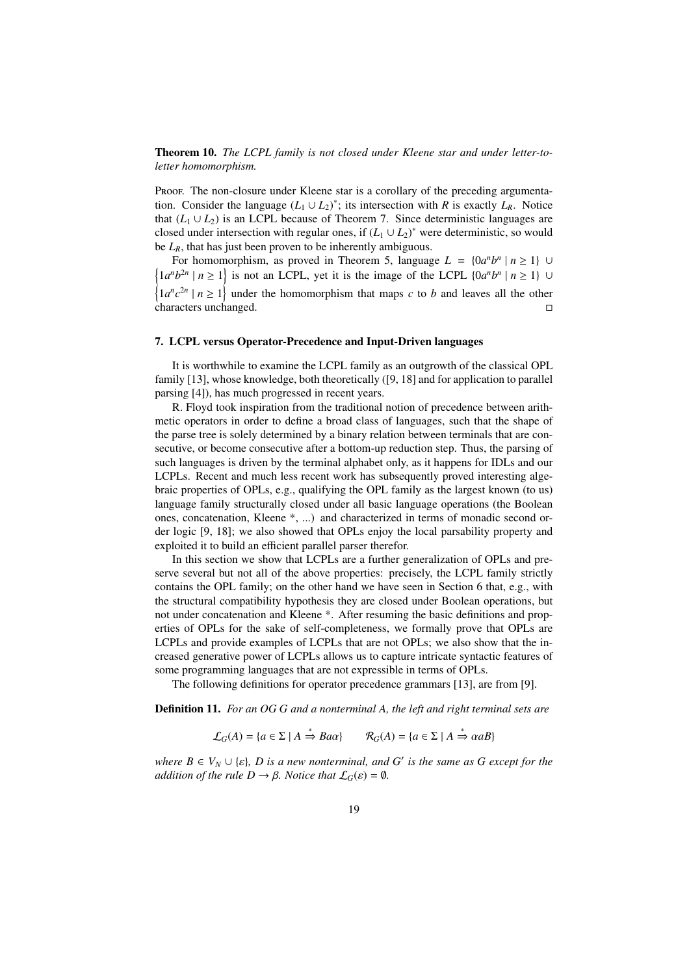Theorem 10. *The LCPL family is not closed under Kleene star and under letter-toletter homomorphism.*

Proof. The non-closure under Kleene star is a corollary of the preceding argumentation. Consider the language  $(L_1 \cup L_2)^*$ ; its intersection with *R* is exactly  $L_R$ . Notice that  $(L_1 \cup L_2)$  is an LCPL because of Theorem 7. Since deterministic languages are closed under intersection with regular ones, if  $(L_1 \cup L_2)^*$  were deterministic, so would be *LR*, that has just been proven to be inherently ambiguous.

For homomorphism, as proved in Theorem 5, language  $L = \{0a^n b^n | n \ge 1\}$  $\{1a^n b^{2n} \mid n \ge 1\}$  is not an LCPL, yet it is the image of the LCPL  $\{0a^n b^n \mid n \ge 1\}$  $\left\{1a^{n}c^{2n} \mid n \geq 1\right\}$  under the homomorphism that maps *c* to *b* and leaves all the other characters unchanged.

## 7. LCPL versus Operator-Precedence and Input-Driven languages

It is worthwhile to examine the LCPL family as an outgrowth of the classical OPL family [13], whose knowledge, both theoretically ([9, 18] and for application to parallel parsing [4]), has much progressed in recent years.

R. Floyd took inspiration from the traditional notion of precedence between arithmetic operators in order to define a broad class of languages, such that the shape of the parse tree is solely determined by a binary relation between terminals that are consecutive, or become consecutive after a bottom-up reduction step. Thus, the parsing of such languages is driven by the terminal alphabet only, as it happens for IDLs and our LCPLs. Recent and much less recent work has subsequently proved interesting algebraic properties of OPLs, e.g., qualifying the OPL family as the largest known (to us) language family structurally closed under all basic language operations (the Boolean ones, concatenation, Kleene \*, ...) and characterized in terms of monadic second order logic [9, 18]; we also showed that OPLs enjoy the local parsability property and exploited it to build an efficient parallel parser therefor.

In this section we show that LCPLs are a further generalization of OPLs and preserve several but not all of the above properties: precisely, the LCPL family strictly contains the OPL family; on the other hand we have seen in Section 6 that, e.g., with the structural compatibility hypothesis they are closed under Boolean operations, but not under concatenation and Kleene \*. After resuming the basic definitions and properties of OPLs for the sake of self-completeness, we formally prove that OPLs are LCPLs and provide examples of LCPLs that are not OPLs; we also show that the increased generative power of LCPLs allows us to capture intricate syntactic features of some programming languages that are not expressible in terms of OPLs.

The following definitions for operator precedence grammars [13], are from [9].

Definition 11. *For an OG G and a nonterminal A, the left and right terminal sets are*

$$
\mathcal{L}_G(A) = \{ a \in \Sigma \mid A \stackrel{*}{\Rightarrow} B a \alpha \} \qquad \mathcal{R}_G(A) = \{ a \in \Sigma \mid A \stackrel{*}{\Rightarrow} \alpha a B \}
$$

*where*  $B \in V_N \cup \{\varepsilon\}$ , *D* is a new nonterminal, and G' is the same as G except for the *addition of the rule D*  $\rightarrow \beta$ *. Notice that*  $\mathcal{L}_G(\varepsilon) = \emptyset$ *.*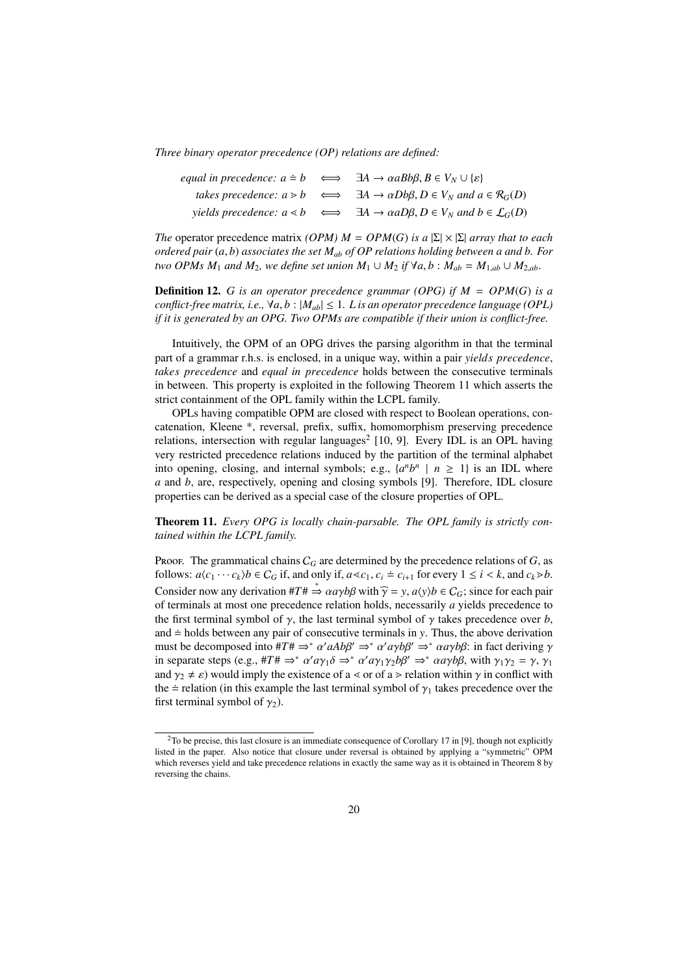*Three binary operator precedence (OP) relations are defined:*

|  | equal in precedence: $a \doteq b \iff \exists A \rightarrow \alpha a B b \beta, B \in V_N \cup \{\varepsilon\}$  |
|--|------------------------------------------------------------------------------------------------------------------|
|  | takes precedence: $a > b \iff \exists A \rightarrow \alpha Db\beta, D \in V_N$ and $a \in \mathcal{R}_G(D)$      |
|  | yields precedence: $a \le b \iff \exists A \rightarrow \alpha a D \beta, D \in V_N$ and $b \in \mathcal{L}_G(D)$ |

*The* operator precedence matrix *(OPM) M* = *OPM(G) is a*  $|\Sigma| \times |\Sigma|$  *array that to each ordered pair* (*a*, *b*) *associates the set Mab of OP relations holding between a and b. For two OPMs*  $M_1$  *and*  $M_2$ *, we define set union*  $M_1 \cup M_2$  *if*  $\forall a, b : M_{ab} = M_{1,ab} \cup M_{2,ab}$ .

**Definition 12.** *G is an operator precedence grammar (OPG) if*  $M = OPM(G)$  *is a conflict-free matrix, i.e.,*  $\forall a, b : |M_{ab}| \leq 1$ . *L* is an operator precedence language (OPL) *if it is generated by an OPG. Two OPMs are compatible if their union is conflict-free.*

Intuitively, the OPM of an OPG drives the parsing algorithm in that the terminal part of a grammar r.h.s. is enclosed, in a unique way, within a pair *yields precedence*, *takes precedence* and *equal in precedence* holds between the consecutive terminals in between. This property is exploited in the following Theorem 11 which asserts the strict containment of the OPL family within the LCPL family.

OPLs having compatible OPM are closed with respect to Boolean operations, concatenation, Kleene \*, reversal, prefix, suffix, homomorphism preserving precedence relations, intersection with regular languages<sup>2</sup> [10, 9]. Every IDL is an OPL having very restricted precedence relations induced by the partition of the terminal alphabet into opening, closing, and internal symbols; e.g.,  $\{a^n b^n \mid n \ge 1\}$  is an IDL where *a* and *b*, are, respectively, opening and closing symbols [9]. Therefore, IDL closure properties can be derived as a special case of the closure properties of OPL.

Theorem 11. *Every OPG is locally chain-parsable. The OPL family is strictly contained within the LCPL family.*

Proof. The grammatical chains  $C_G$  are determined by the precedence relations of  $G$ , as follows:  $a\langle c_1 \cdots c_k \rangle b \in C_G$  if, and only if,  $a \ll c_1$ ,  $c_i \doteq c_{i+1}$  for every  $1 \leq i \leq k$ , and  $c_k \gg b$ . Consider now any derivation  $#T \neq \in \alpha a \gamma b \beta$  with  $\widehat{\gamma} = y$ ,  $a \langle y \rangle b \in C_G$ ; since for each pair of terminals at most one precedence relation holds, necessarily *a* yields precedence to the first terminal symbol of  $\gamma$ , the last terminal symbol of  $\gamma$  takes precedence over *b*, and  $\dot{=}$  holds between any pair of consecutive terminals in *y*. Thus, the above derivation must be decomposed into  $#T# \Rightarrow^* \alpha' aAb\beta' \Rightarrow^* \alpha' a\gamma b\beta' \Rightarrow^* \alpha a\gamma b\beta$ : in fact deriving  $\gamma$ in separate steps (e.g.,  $#T \# \Rightarrow^* \alpha' a \gamma_1 \delta \Rightarrow^* \alpha' a \gamma_1 \gamma_2 b \beta' \Rightarrow^* \alpha a \gamma b \beta$ , with  $\gamma_1 \gamma_2 = \gamma$ ,  $\gamma_1$ and  $\gamma_2 \neq \varepsilon$ ) would imply the existence of a  $\lt$  or of a  $\gt$  relation within  $\gamma$  in conflict with the = relation (in this example the last terminal symbol of  $\gamma_1$  takes precedence over the first terminal symbol of  $\gamma_2$ ).

<sup>&</sup>lt;sup>2</sup>To be precise, this last closure is an immediate consequence of Corollary 17 in [9], though not explicitly listed in the paper. Also notice that closure under reversal is obtained by applying a "symmetric" OPM which reverses yield and take precedence relations in exactly the same way as it is obtained in Theorem 8 by reversing the chains.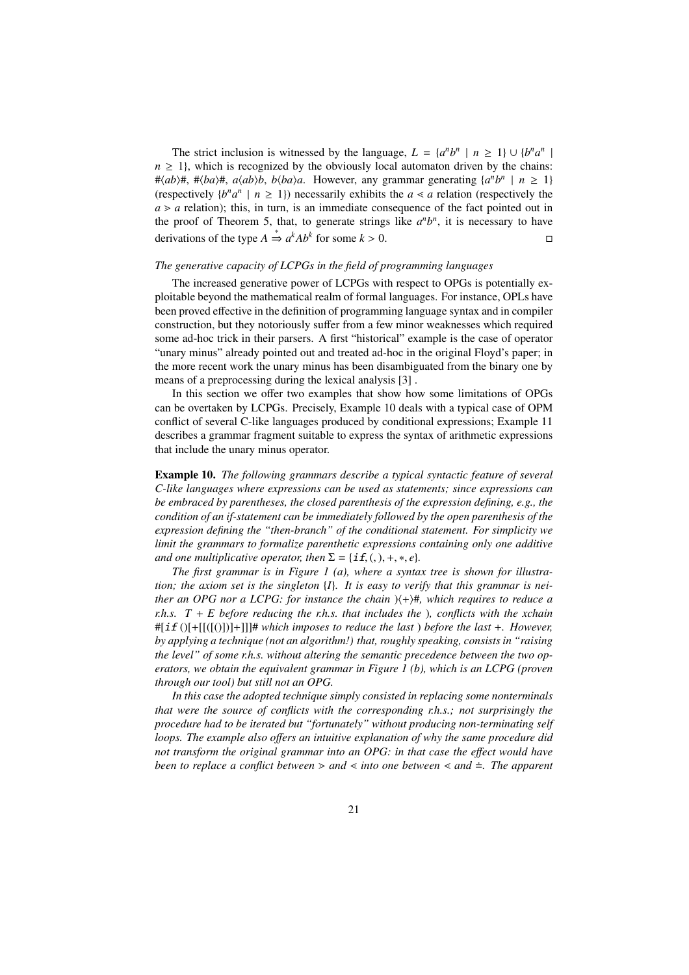The strict inclusion is witnessed by the language,  $L = \{a^n b^n \mid n \ge 1\} \cup \{b^n a^n \mid a^n b^n\}$  $n \geq 1$ , which is recognized by the obviously local automaton driven by the chains:  $\# \langle ab \rangle \#$ ,  $\# \langle ba \rangle \#$ ,  $a \langle ab \rangle b$ ,  $b \langle ba \rangle a$ . However, any grammar generating  $\{a^n b^n \mid n \geq 1\}$ (respectively  $\{b^n a^n \mid n \ge 1\}$ ) necessarily exhibits the  $a \le a$  relation (respectively the  $a \ge a$  relation); this, in turn, is an immediate consequence of the fact pointed out in the proof of Theorem 5, that, to generate strings like  $a<sup>n</sup>b<sup>n</sup>$ , it is necessary to have derivations of the type *A*  $\stackrel{*}{\Rightarrow} a^k Ab^k$  for some *k* > 0. □

# *The generative capacity of LCPGs in the field of programming languages*

The increased generative power of LCPGs with respect to OPGs is potentially exploitable beyond the mathematical realm of formal languages. For instance, OPLs have been proved effective in the definition of programming language syntax and in compiler construction, but they notoriously suffer from a few minor weaknesses which required some ad-hoc trick in their parsers. A first "historical" example is the case of operator "unary minus" already pointed out and treated ad-hoc in the original Floyd's paper; in the more recent work the unary minus has been disambiguated from the binary one by means of a preprocessing during the lexical analysis [3] .

In this section we offer two examples that show how some limitations of OPGs can be overtaken by LCPGs. Precisely, Example 10 deals with a typical case of OPM conflict of several C-like languages produced by conditional expressions; Example 11 describes a grammar fragment suitable to express the syntax of arithmetic expressions that include the unary minus operator.

Example 10. *The following grammars describe a typical syntactic feature of several C-like languages where expressions can be used as statements; since expressions can be embraced by parentheses, the closed parenthesis of the expression defining, e.g., the condition of an if-statement can be immediately followed by the open parenthesis of the expression defining the "then-branch" of the conditional statement. For simplicity we limit the grammars to formalize parenthetic expressions containing only one additive and one multiplicative operator, then*  $\Sigma = \{if, (0,), +, *, e\}$ *.* 

*The first grammar is in Figure 1 (a), where a syntax tree is shown for illustration; the axiom set is the singleton* {*I*}*. It is easy to verify that this grammar is neither an OPG nor a LCPG: for instance the chain*  $\langle + \rangle$ #*, which requires to reduce a r.h.s. T* + *E before reducing the r.h.s. that includes the* )*, conflicts with the xchain* #[if ()[+[[([()])]+]]]# *which imposes to reduce the last* ) *before the last* +*. However, by applying a technique (not an algorithm!) that, roughly speaking, consists in "raising the level" of some r.h.s. without altering the semantic precedence between the two operators, we obtain the equivalent grammar in Figure 1 (b), which is an LCPG (proven through our tool) but still not an OPG.*

*In this case the adopted technique simply consisted in replacing some nonterminals that were the source of conflicts with the corresponding r.h.s.; not surprisingly the procedure had to be iterated but "fortunately" without producing non-terminating self loops. The example also o*ff*ers an intuitive explanation of why the same procedure did not transform the original grammar into an OPG: in that case the e*ff*ect would have been to replace a conflict between*  $\geq$  *and*  $\leq$  *into one between*  $\leq$  *and*  $\equiv$  *. The apparent*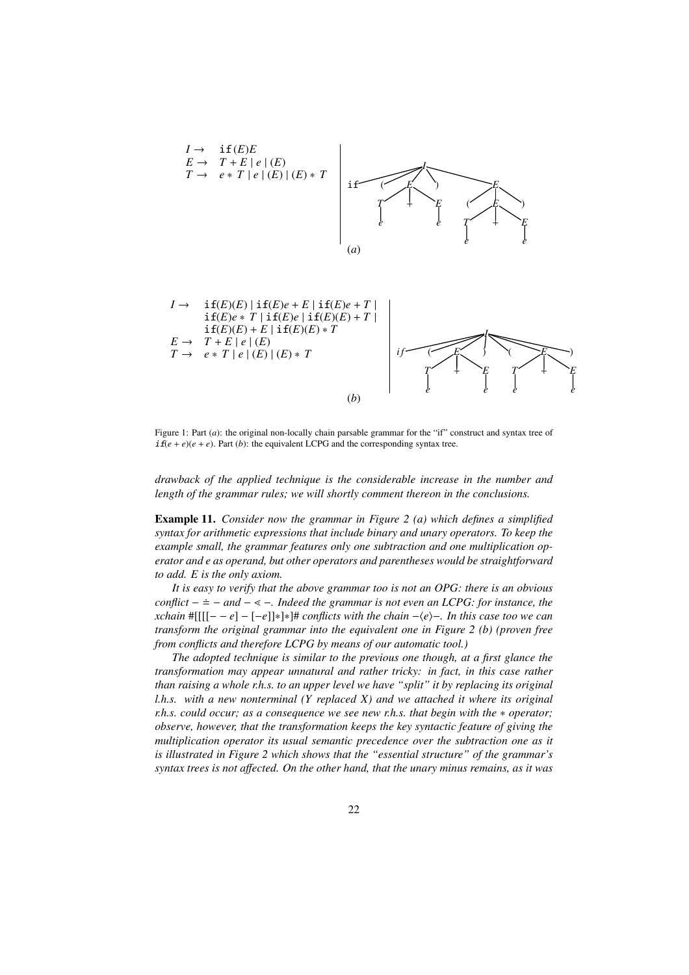



Figure 1: Part (*a*): the original non-locally chain parsable grammar for the "if" construct and syntax tree of  $\textbf{if}(e+e)(e+e)$ . Part (*b*): the equivalent LCPG and the corresponding syntax tree.

*drawback of the applied technique is the considerable increase in the number and length of the grammar rules; we will shortly comment thereon in the conclusions.*

Example 11. *Consider now the grammar in Figure 2 (a) which defines a simplified syntax for arithmetic expressions that include binary and unary operators. To keep the example small, the grammar features only one subtraction and one multiplication operator and e as operand, but other operators and parentheses would be straightforward to add. E is the only axiom.*

*It is easy to verify that the above grammar too is not an OPG: there is an obvious conflict* −  $\dot{=}$  − *and* − < −*. Indeed the grammar is not even an LCPG: for instance, the xchain* #[[[[− − *e*] − [−*e*]]∗]∗]# *conflicts with the chain* −h*e*i−*. In this case too we can transform the original grammar into the equivalent one in Figure 2 (b) (proven free from conflicts and therefore LCPG by means of our automatic tool.)*

*The adopted technique is similar to the previous one though, at a first glance the transformation may appear unnatural and rather tricky: in fact, in this case rather than raising a whole r.h.s. to an upper level we have "split" it by replacing its original l.h.s. with a new nonterminal (Y replaced X) and we attached it where its original r.h.s. could occur; as a consequence we see new r.h.s. that begin with the* \* *operator; observe, however, that the transformation keeps the key syntactic feature of giving the multiplication operator its usual semantic precedence over the subtraction one as it is illustrated in Figure 2 which shows that the "essential structure" of the grammar's syntax trees is not a*ff*ected. On the other hand, that the unary minus remains, as it was*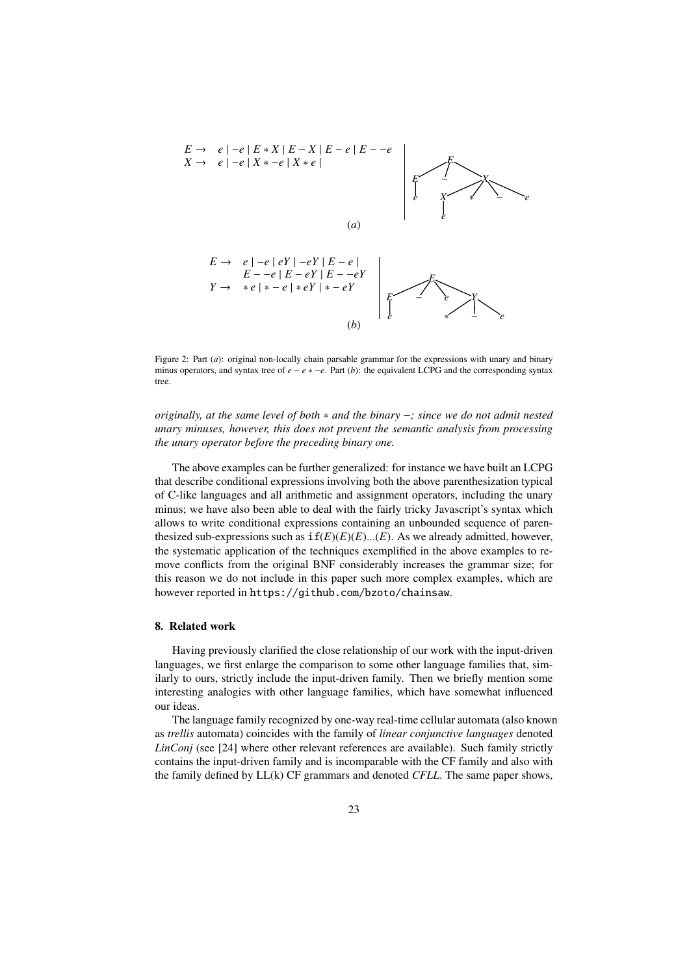

Figure 2: Part (*a*): original non-locally chain parsable grammar for the expressions with unary and binary minus operators, and syntax tree of *e* − *e* ∗ −*e*. Part (*b*): the equivalent LCPG and the corresponding syntax tree.

*originally, at the same level of both* ∗ *and the binary* −*; since we do not admit nested unary minuses, however, this does not prevent the semantic analysis from processing the unary operator before the preceding binary one.*

The above examples can be further generalized: for instance we have built an LCPG that describe conditional expressions involving both the above parenthesization typical of C-like languages and all arithmetic and assignment operators, including the unary minus; we have also been able to deal with the fairly tricky Javascript's syntax which allows to write conditional expressions containing an unbounded sequence of parenthesized sub-expressions such as  $if(E)(E)...(E)$ . As we already admitted, however, the systematic application of the techniques exemplified in the above examples to remove conflicts from the original BNF considerably increases the grammar size; for this reason we do not include in this paper such more complex examples, which are however reported in https://github.com/bzoto/chainsaw.

# 8. Related work

Having previously clarified the close relationship of our work with the input-driven languages, we first enlarge the comparison to some other language families that, similarly to ours, strictly include the input-driven family. Then we briefly mention some interesting analogies with other language families, which have somewhat influenced our ideas.

The language family recognized by one-way real-time cellular automata (also known as *trellis* automata) coincides with the family of *linear conjunctive languages* denoted *LinConj* (see [24] where other relevant references are available). Such family strictly contains the input-driven family and is incomparable with the CF family and also with the family defined by LL(k) CF grammars and denoted *CFLL*. The same paper shows,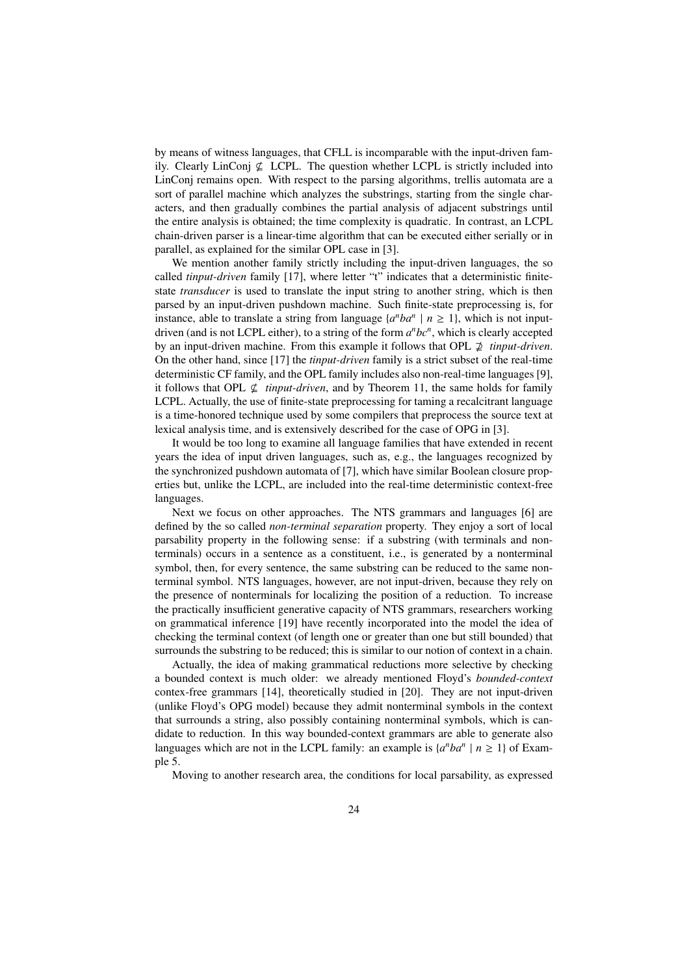by means of witness languages, that CFLL is incomparable with the input-driven family. Clearly LinConj  $\nsubseteq$  LCPL. The question whether LCPL is strictly included into LinConj remains open. With respect to the parsing algorithms, trellis automata are a sort of parallel machine which analyzes the substrings, starting from the single characters, and then gradually combines the partial analysis of adjacent substrings until the entire analysis is obtained; the time complexity is quadratic. In contrast, an LCPL chain-driven parser is a linear-time algorithm that can be executed either serially or in parallel, as explained for the similar OPL case in [3].

We mention another family strictly including the input-driven languages, the so called *tinput-driven* family [17], where letter "t" indicates that a deterministic finitestate *transducer* is used to translate the input string to another string, which is then parsed by an input-driven pushdown machine. Such finite-state preprocessing is, for instance, able to translate a string from language  $\{a^nba^n \mid n \ge 1\}$ , which is not inputdriven (and is not LCPL either), to a string of the form *a <sup>n</sup>bc<sup>n</sup>* , which is clearly accepted by an input-driven machine. From this example it follows that OPL  $\not\supseteq$  *tinput-driven*. On the other hand, since [17] the *tinput-driven* family is a strict subset of the real-time deterministic CF family, and the OPL family includes also non-real-time languages [9], it follows that OPL  $\nsubseteq$  *tinput-driven*, and by Theorem 11, the same holds for family LCPL. Actually, the use of finite-state preprocessing for taming a recalcitrant language is a time-honored technique used by some compilers that preprocess the source text at lexical analysis time, and is extensively described for the case of OPG in [3].

It would be too long to examine all language families that have extended in recent years the idea of input driven languages, such as, e.g., the languages recognized by the synchronized pushdown automata of [7], which have similar Boolean closure properties but, unlike the LCPL, are included into the real-time deterministic context-free languages.

Next we focus on other approaches. The NTS grammars and languages [6] are defined by the so called *non-terminal separation* property. They enjoy a sort of local parsability property in the following sense: if a substring (with terminals and nonterminals) occurs in a sentence as a constituent, i.e., is generated by a nonterminal symbol, then, for every sentence, the same substring can be reduced to the same nonterminal symbol. NTS languages, however, are not input-driven, because they rely on the presence of nonterminals for localizing the position of a reduction. To increase the practically insufficient generative capacity of NTS grammars, researchers working on grammatical inference [19] have recently incorporated into the model the idea of checking the terminal context (of length one or greater than one but still bounded) that surrounds the substring to be reduced; this is similar to our notion of context in a chain.

Actually, the idea of making grammatical reductions more selective by checking a bounded context is much older: we already mentioned Floyd's *bounded-context* contex-free grammars [14], theoretically studied in [20]. They are not input-driven (unlike Floyd's OPG model) because they admit nonterminal symbols in the context that surrounds a string, also possibly containing nonterminal symbols, which is candidate to reduction. In this way bounded-context grammars are able to generate also languages which are not in the LCPL family: an example is  $\{a^nba^n \mid n \ge 1\}$  of Example 5.

Moving to another research area, the conditions for local parsability, as expressed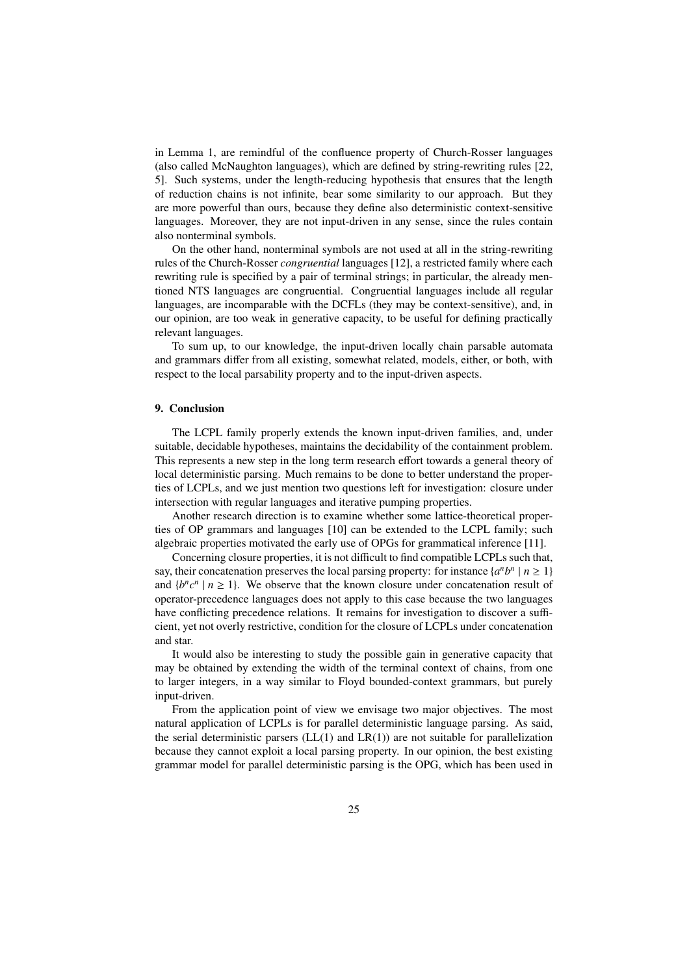in Lemma 1, are remindful of the confluence property of Church-Rosser languages (also called McNaughton languages), which are defined by string-rewriting rules [22, 5]. Such systems, under the length-reducing hypothesis that ensures that the length of reduction chains is not infinite, bear some similarity to our approach. But they are more powerful than ours, because they define also deterministic context-sensitive languages. Moreover, they are not input-driven in any sense, since the rules contain also nonterminal symbols.

On the other hand, nonterminal symbols are not used at all in the string-rewriting rules of the Church-Rosser *congruential* languages [12], a restricted family where each rewriting rule is specified by a pair of terminal strings; in particular, the already mentioned NTS languages are congruential. Congruential languages include all regular languages, are incomparable with the DCFLs (they may be context-sensitive), and, in our opinion, are too weak in generative capacity, to be useful for defining practically relevant languages.

To sum up, to our knowledge, the input-driven locally chain parsable automata and grammars differ from all existing, somewhat related, models, either, or both, with respect to the local parsability property and to the input-driven aspects.

## 9. Conclusion

The LCPL family properly extends the known input-driven families, and, under suitable, decidable hypotheses, maintains the decidability of the containment problem. This represents a new step in the long term research effort towards a general theory of local deterministic parsing. Much remains to be done to better understand the properties of LCPLs, and we just mention two questions left for investigation: closure under intersection with regular languages and iterative pumping properties.

Another research direction is to examine whether some lattice-theoretical properties of OP grammars and languages [10] can be extended to the LCPL family; such algebraic properties motivated the early use of OPGs for grammatical inference [11].

Concerning closure properties, it is not difficult to find compatible LCPLs such that, say, their concatenation preserves the local parsing property: for instance  $\{a^n b^n \mid n \ge 1\}$ and  $\{b^n c^n \mid n \ge 1\}$ . We observe that the known closure under concatenation result of operator-precedence languages does not apply to this case because the two languages have conflicting precedence relations. It remains for investigation to discover a sufficient, yet not overly restrictive, condition for the closure of LCPLs under concatenation and star.

It would also be interesting to study the possible gain in generative capacity that may be obtained by extending the width of the terminal context of chains, from one to larger integers, in a way similar to Floyd bounded-context grammars, but purely input-driven.

From the application point of view we envisage two major objectives. The most natural application of LCPLs is for parallel deterministic language parsing. As said, the serial deterministic parsers  $(LL(1)$  and  $LR(1)$ ) are not suitable for parallelization because they cannot exploit a local parsing property. In our opinion, the best existing grammar model for parallel deterministic parsing is the OPG, which has been used in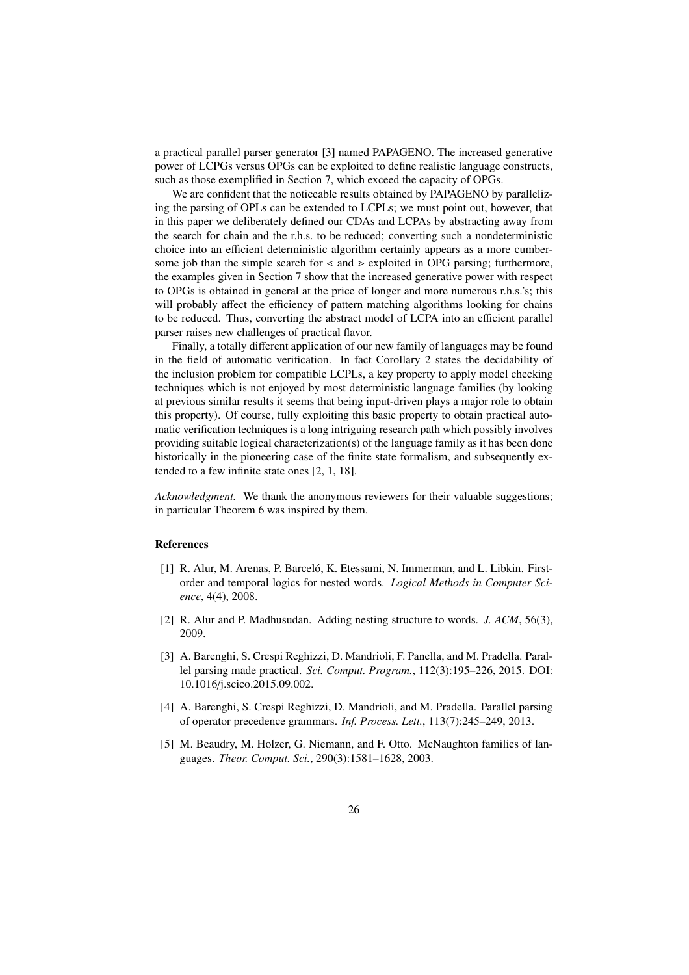a practical parallel parser generator [3] named PAPAGENO. The increased generative power of LCPGs versus OPGs can be exploited to define realistic language constructs, such as those exemplified in Section 7, which exceed the capacity of OPGs.

We are confident that the noticeable results obtained by PAPAGENO by parallelizing the parsing of OPLs can be extended to LCPLs; we must point out, however, that in this paper we deliberately defined our CDAs and LCPAs by abstracting away from the search for chain and the r.h.s. to be reduced; converting such a nondeterministic choice into an efficient deterministic algorithm certainly appears as a more cumbersome job than the simple search for  $\le$  and  $\ge$  exploited in OPG parsing; furthermore, the examples given in Section 7 show that the increased generative power with respect to OPGs is obtained in general at the price of longer and more numerous r.h.s.'s; this will probably affect the efficiency of pattern matching algorithms looking for chains to be reduced. Thus, converting the abstract model of LCPA into an efficient parallel parser raises new challenges of practical flavor.

Finally, a totally different application of our new family of languages may be found in the field of automatic verification. In fact Corollary 2 states the decidability of the inclusion problem for compatible LCPLs, a key property to apply model checking techniques which is not enjoyed by most deterministic language families (by looking at previous similar results it seems that being input-driven plays a major role to obtain this property). Of course, fully exploiting this basic property to obtain practical automatic verification techniques is a long intriguing research path which possibly involves providing suitable logical characterization(s) of the language family as it has been done historically in the pioneering case of the finite state formalism, and subsequently extended to a few infinite state ones [2, 1, 18].

*Acknowledgment.* We thank the anonymous reviewers for their valuable suggestions; in particular Theorem 6 was inspired by them.

#### References

- [1] R. Alur, M. Arenas, P. Barceló, K. Etessami, N. Immerman, and L. Libkin. Firstorder and temporal logics for nested words. *Logical Methods in Computer Science*, 4(4), 2008.
- [2] R. Alur and P. Madhusudan. Adding nesting structure to words. *J. ACM*, 56(3), 2009.
- [3] A. Barenghi, S. Crespi Reghizzi, D. Mandrioli, F. Panella, and M. Pradella. Parallel parsing made practical. *Sci. Comput. Program.*, 112(3):195–226, 2015. DOI: 10.1016/j.scico.2015.09.002.
- [4] A. Barenghi, S. Crespi Reghizzi, D. Mandrioli, and M. Pradella. Parallel parsing of operator precedence grammars. *Inf. Process. Lett.*, 113(7):245–249, 2013.
- [5] M. Beaudry, M. Holzer, G. Niemann, and F. Otto. McNaughton families of languages. *Theor. Comput. Sci.*, 290(3):1581–1628, 2003.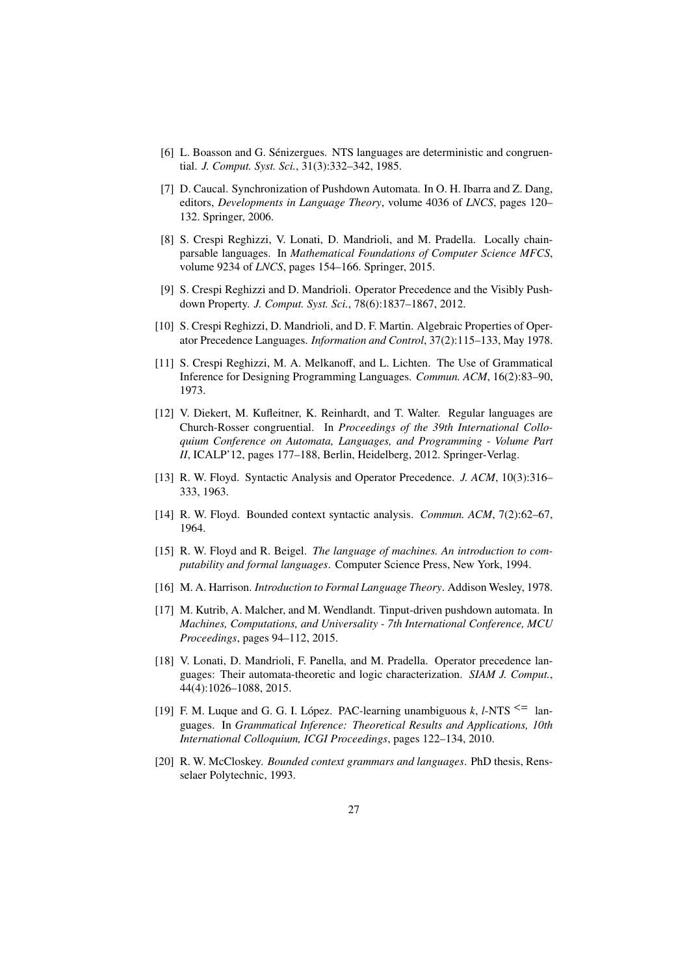- [6] L. Boasson and G. Senizergues. NTS languages are deterministic and congruen- ´ tial. *J. Comput. Syst. Sci.*, 31(3):332–342, 1985.
- [7] D. Caucal. Synchronization of Pushdown Automata. In O. H. Ibarra and Z. Dang, editors, *Developments in Language Theory*, volume 4036 of *LNCS*, pages 120– 132. Springer, 2006.
- [8] S. Crespi Reghizzi, V. Lonati, D. Mandrioli, and M. Pradella. Locally chainparsable languages. In *Mathematical Foundations of Computer Science MFCS*, volume 9234 of *LNCS*, pages 154–166. Springer, 2015.
- [9] S. Crespi Reghizzi and D. Mandrioli. Operator Precedence and the Visibly Pushdown Property. *J. Comput. Syst. Sci.*, 78(6):1837–1867, 2012.
- [10] S. Crespi Reghizzi, D. Mandrioli, and D. F. Martin. Algebraic Properties of Operator Precedence Languages. *Information and Control*, 37(2):115–133, May 1978.
- [11] S. Crespi Reghizzi, M. A. Melkanoff, and L. Lichten. The Use of Grammatical Inference for Designing Programming Languages. *Commun. ACM*, 16(2):83–90, 1973.
- [12] V. Diekert, M. Kufleitner, K. Reinhardt, and T. Walter. Regular languages are Church-Rosser congruential. In *Proceedings of the 39th International Colloquium Conference on Automata, Languages, and Programming - Volume Part II*, ICALP'12, pages 177–188, Berlin, Heidelberg, 2012. Springer-Verlag.
- [13] R. W. Floyd. Syntactic Analysis and Operator Precedence. *J. ACM*, 10(3):316– 333, 1963.
- [14] R. W. Floyd. Bounded context syntactic analysis. *Commun. ACM*, 7(2):62–67, 1964.
- [15] R. W. Floyd and R. Beigel. *The language of machines. An introduction to computability and formal languages*. Computer Science Press, New York, 1994.
- [16] M. A. Harrison. *Introduction to Formal Language Theory*. Addison Wesley, 1978.
- [17] M. Kutrib, A. Malcher, and M. Wendlandt. Tinput-driven pushdown automata. In *Machines, Computations, and Universality - 7th International Conference, MCU Proceedings*, pages 94–112, 2015.
- [18] V. Lonati, D. Mandrioli, F. Panella, and M. Pradella. Operator precedence languages: Their automata-theoretic and logic characterization. *SIAM J. Comput.*, 44(4):1026–1088, 2015.
- [19] F. M. Luque and G. G. I. López. PAC-learning unambiguous  $k$ , *l*-NTS  $\leq$  1anguages. In *Grammatical Inference: Theoretical Results and Applications, 10th International Colloquium, ICGI Proceedings*, pages 122–134, 2010.
- [20] R. W. McCloskey. *Bounded context grammars and languages*. PhD thesis, Rensselaer Polytechnic, 1993.